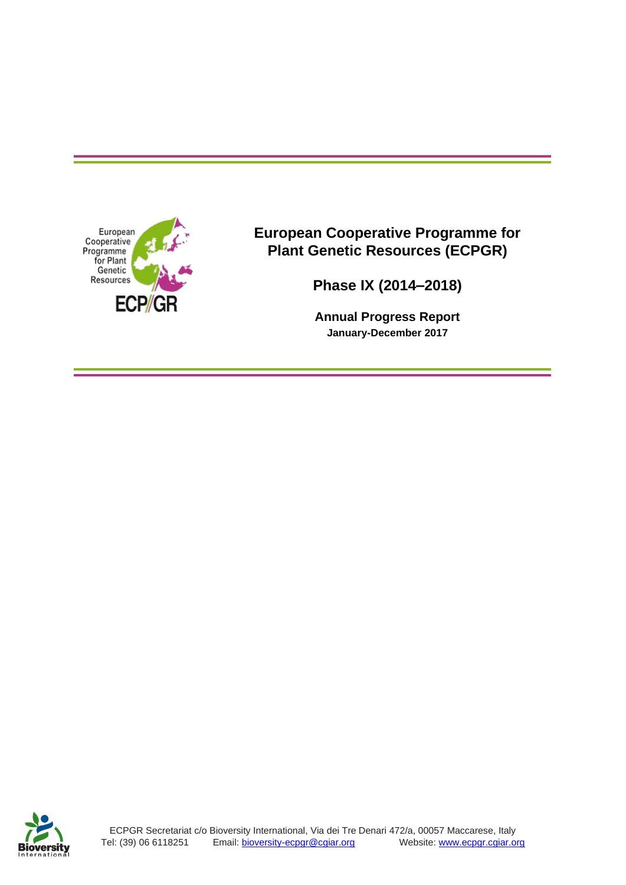

**European Cooperative Programme for Plant Genetic Resources (ECPGR)**

**Phase IX (2014–2018)**

**Annual Progress Report January-December 2017**

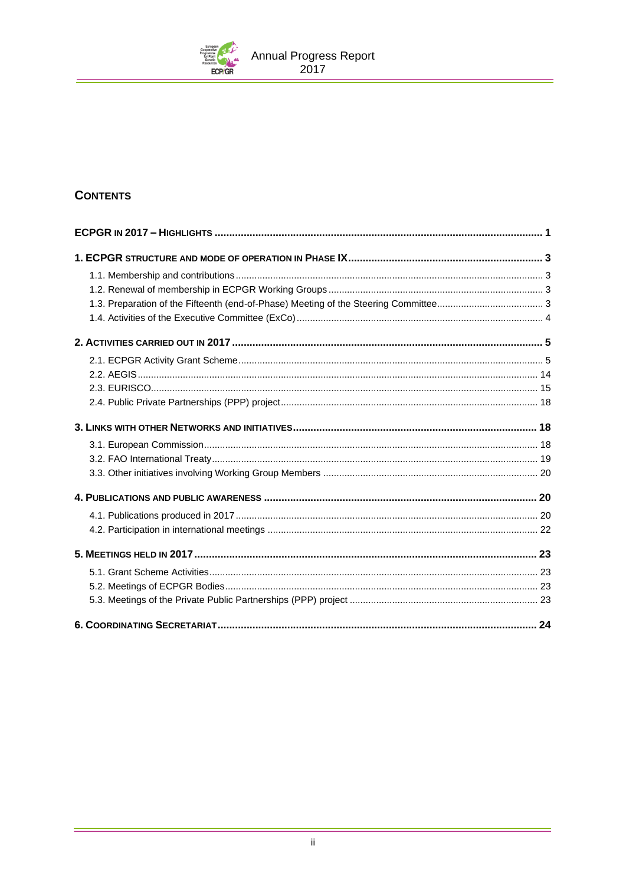

# **CONTENTS**

| 24 |
|----|

۰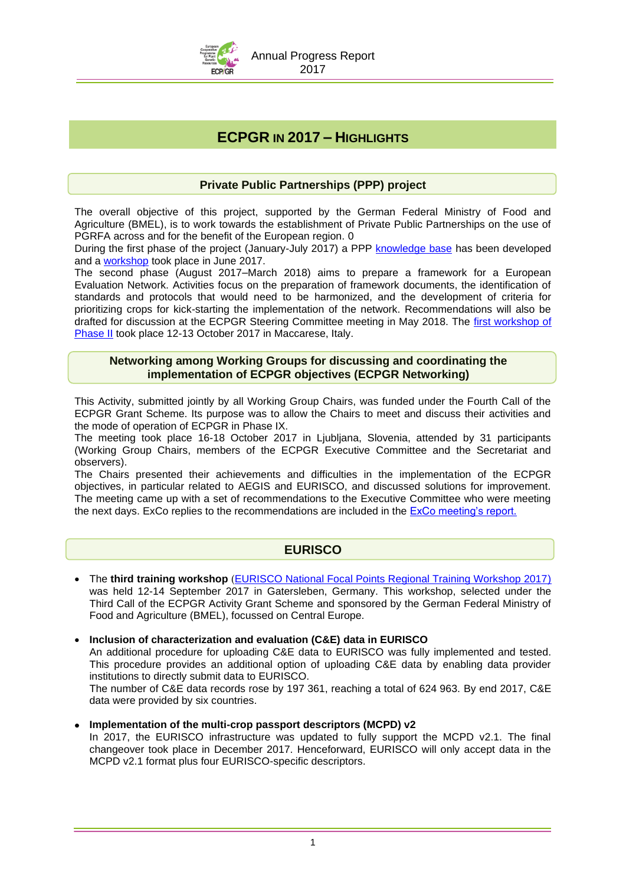

# **ECPGR IN 2017 – HIGHLIGHTS**

### **Private Public Partnerships (PPP) project**

The overall objective of this project, supported by the German Federal Ministry of Food and Agriculture (BMEL), is to work towards the establishment of Private Public Partnerships on the use of PGRFA across and for the benefit of the European region. 0

During the first phase of the project (January-July 2017) a PPP [knowledge base](http://www.ecpgr.cgiar.org/resources/ppp-private-public-partnerships/ppp-knowledge-base/) has been developed and a [workshop](http://www.ecpgr.cgiar.org/resources/ppp-private-public-partnerships/ppp-workshop/) took place in June 2017.

The second phase (August 2017–March 2018) aims to prepare a framework for a European Evaluation Network. Activities focus on the preparation of framework documents, the identification of standards and protocols that would need to be harmonized, and the development of criteria for prioritizing crops for kick-starting the implementation of the network. Recommendations will also be drafted for discussion at the ECPGR Steering Committee meeting in May 2018. The [first workshop of](http://www.ecpgr.cgiar.org/resources/ppp-private-public-partnerships/ppp-workshop-phase-ii/)  [Phase II](http://www.ecpgr.cgiar.org/resources/ppp-private-public-partnerships/ppp-workshop-phase-ii/) took place 12-13 October 2017 in Maccarese, Italy.

### **Networking among Working Groups for discussing and coordinating the implementation of ECPGR objectives (ECPGR Networking)**

This Activity, submitted jointly by all Working Group Chairs, was funded under the Fourth Call of the ECPGR Grant Scheme. Its purpose was to allow the Chairs to meet and discuss their activities and the mode of operation of ECPGR in Phase IX.

The meeting took place 16-18 October 2017 in Ljubljana, Slovenia, attended by 31 participants (Working Group Chairs, members of the ECPGR Executive Committee and the Secretariat and observers).

The Chairs presented their achievements and difficulties in the implementation of the ECPGR objectives, in particular related to AEGIS and EURISCO, and discussed solutions for improvement. The meeting came up with a set of recommendations to the Executive Committee who were meeting the next days. ExCo replies to the recommendations are included in the **ExCo meeting's report.** 

### **EURISCO**

- The **third training workshop** ([EURISCO National Focal Points Regional Training Workshop 2017\)](http://www.ecpgr.cgiar.org/working-groups/documentation-information/eurisco-national-focal-points-training-workshop-2017/) was held 12-14 September 2017 in Gatersleben, Germany. This workshop, selected under the Third Call of the ECPGR Activity Grant Scheme and sponsored by the German Federal Ministry of Food and Agriculture (BMEL), focussed on Central Europe.
- **Inclusion of characterization and evaluation (C&E) data in EURISCO**

An additional procedure for uploading C&E data to EURISCO was fully implemented and tested. This procedure provides an additional option of uploading C&E data by enabling data provider institutions to directly submit data to EURISCO.

The number of C&E data records rose by 197 361, reaching a total of 624 963. By end 2017, C&E data were provided by six countries.

### **Implementation of the multi-crop passport descriptors (MCPD) v2**

In 2017, the EURISCO infrastructure was updated to fully support the MCPD v2.1. The final changeover took place in December 2017. Henceforward, EURISCO will only accept data in the MCPD v2.1 format plus four EURISCO-specific descriptors.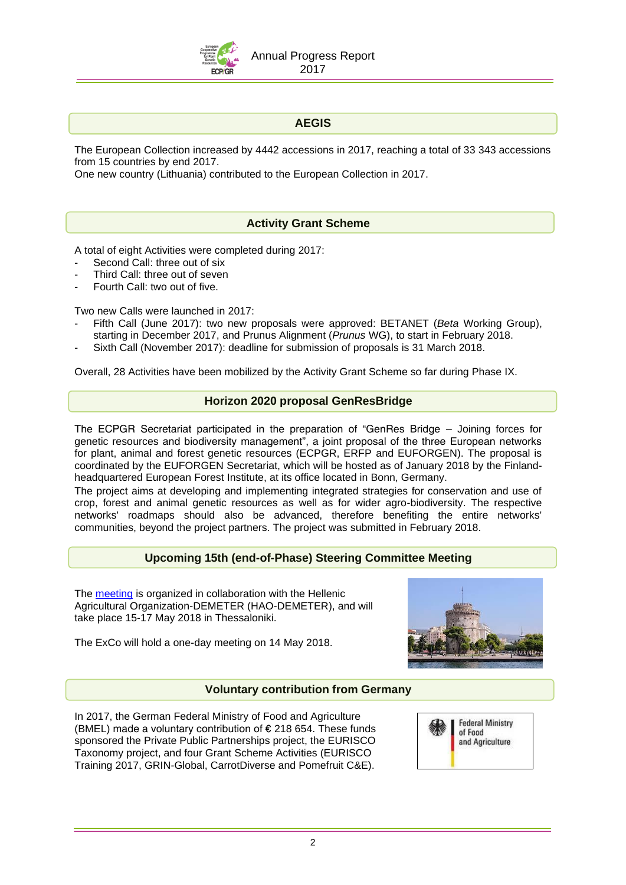

### **AEGIS**

The European Collection increased by 4442 accessions in 2017, reaching a total of 33 343 accessions from 15 countries by end 2017.

One new country (Lithuania) contributed to the European Collection in 2017.

### **Activity Grant Scheme**

A total of eight Activities were completed during 2017:

- Second Call: three out of six
- Third Call: three out of seven
- Fourth Call: two out of five.

Two new Calls were launched in 2017:

- Fifth Call (June 2017): two new proposals were approved: BETANET (*Beta* Working Group), starting in December 2017, and Prunus Alignment (*Prunus* WG), to start in February 2018.
- Sixth Call (November 2017): deadline for submission of proposals is 31 March 2018.

Overall, 28 Activities have been mobilized by the Activity Grant Scheme so far during Phase IX.

### **Horizon 2020 proposal GenResBridge**

The ECPGR Secretariat participated in the preparation of "GenRes Bridge – Joining forces for genetic resources and biodiversity management", a joint proposal of the three European networks for plant, animal and forest genetic resources (ECPGR, ERFP and EUFORGEN). The proposal is coordinated by the EUFORGEN Secretariat, which will be hosted as of January 2018 by the Finlandheadquartered European Forest Institute, at its office located in Bonn, Germany.

The project aims at developing and implementing integrated strategies for conservation and use of crop, forest and animal genetic resources as well as for wider agro-biodiversity. The respective networks' roadmaps should also be advanced, therefore benefiting the entire networks' communities, beyond the project partners. The project was submitted in February 2018.

### **Upcoming 15th (end-of-Phase) Steering Committee Meeting**

The [meeting](http://www.ecpgr.cgiar.org/about-ecpgr/steering-committee/sc15/) is organized in collaboration with the Hellenic Agricultural Organization-DEMETER (HAO-DEMETER), and will take place 15-17 May 2018 in Thessaloniki.



The ExCo will hold a one-day meeting on 14 May 2018.

### **Voluntary contribution from Germany**

In 2017, the German Federal Ministry of Food and Agriculture (BMEL) made a voluntary contribution of  $\epsilon$  218 654. These funds sponsored the Private Public Partnerships project, the EURISCO Taxonomy project, and four Grant Scheme Activities (EURISCO Training 2017, GRIN-Global, CarrotDiverse and Pomefruit C&E).

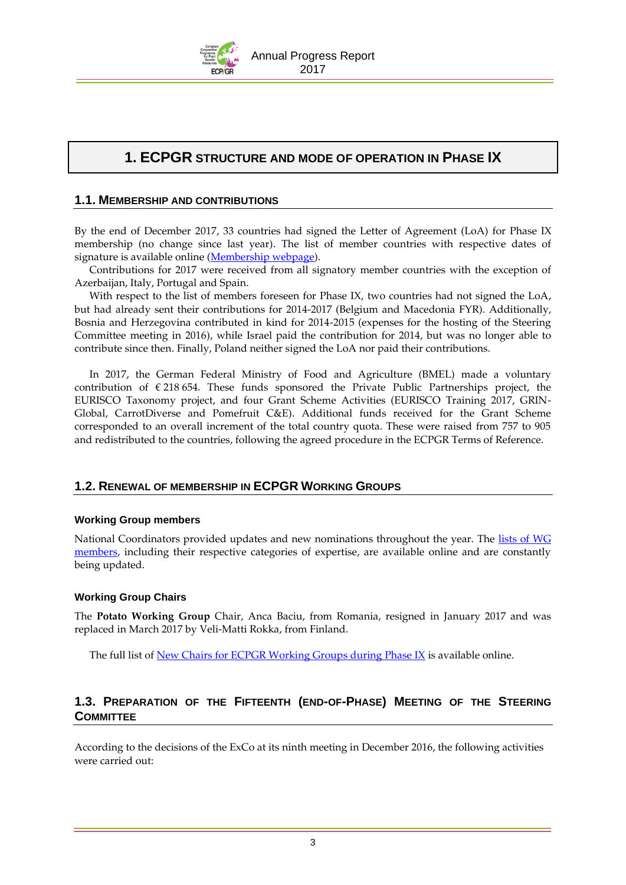

# **1. ECPGR STRUCTURE AND MODE OF OPERATION IN PHASE IX**

### **1.1. MEMBERSHIP AND CONTRIBUTIONS**

By the end of December 2017, 33 countries had signed the Letter of Agreement (LoA) for Phase IX membership (no change since last year). The list of member countries with respective dates of signature is available online [\(Membership webpage\)](http://www.ecpgr.cgiar.org/about-ecpgr/participating-members/).

Contributions for 2017 were received from all signatory member countries with the exception of Azerbaijan, Italy, Portugal and Spain.

With respect to the list of members foreseen for Phase IX, two countries had not signed the LoA, but had already sent their contributions for 2014-2017 (Belgium and Macedonia FYR). Additionally, Bosnia and Herzegovina contributed in kind for 2014-2015 (expenses for the hosting of the Steering Committee meeting in 2016), while Israel paid the contribution for 2014, but was no longer able to contribute since then. Finally, Poland neither signed the LoA nor paid their contributions.

In 2017, the German Federal Ministry of Food and Agriculture (BMEL) made a voluntary contribution of  $\epsilon$  218 654. These funds sponsored the Private Public Partnerships project, the EURISCO Taxonomy project, and four Grant Scheme Activities (EURISCO Training 2017, GRIN-Global, CarrotDiverse and Pomefruit C&E). Additional funds received for the Grant Scheme corresponded to an overall increment of the total country quota. These were raised from 757 to 905 and redistributed to the countries, following the agreed procedure in the ECPGR Terms of Reference.

### <span id="page-4-0"></span>**1.2. RENEWAL OF MEMBERSHIP IN ECPGR WORKING GROUPS**

### **Working Group members**

National Coordinators provided updates and new nominations throughout the year. The [lists of WG](http://www.ecpgr.cgiar.org/contacts-in-ecpgr/working-group-members-and-chairs/)  [members,](http://www.ecpgr.cgiar.org/contacts-in-ecpgr/working-group-members-and-chairs/) including their respective categories of expertise, are available online and are constantly being updated.

### **Working Group Chairs**

The **Potato Working Group** Chair, Anca Baciu, from Romania, resigned in January 2017 and was replaced in March 2017 by Veli-Matti Rokka, from Finland.

The full list of [New Chairs for ECPGR Working Groups during Phase IX](http://www.ecpgr.cgiar.org/contacts-in-ecpgr/working-group-chairs/) is available online.

### **1.3. PREPARATION OF THE FIFTEENTH (END-OF-PHASE) MEETING OF THE STEERING COMMITTEE**

According to the decisions of the ExCo at its ninth meeting in December 2016, the following activities were carried out: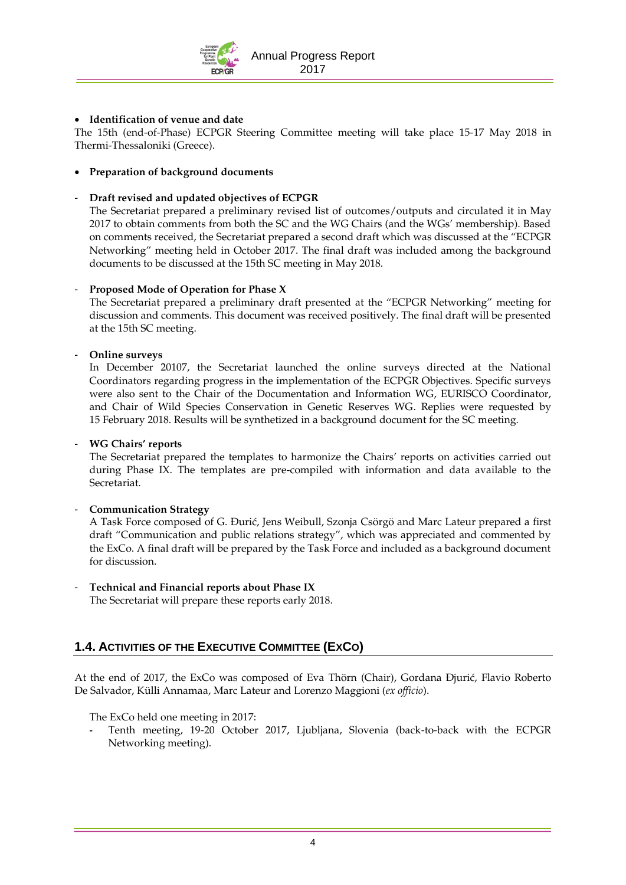

### **Identification of venue and date**

The 15th (end-of-Phase) ECPGR Steering Committee meeting will take place 15-17 May 2018 in Thermi-Thessaloniki (Greece).

### **Preparation of background documents**

### - **Draft revised and updated objectives of ECPGR**

The Secretariat prepared a preliminary revised list of outcomes/outputs and circulated it in May 2017 to obtain comments from both the SC and the WG Chairs (and the WGs' membership). Based on comments received, the Secretariat prepared a second draft which was discussed at the "ECPGR Networking" meeting held in October 2017. The final draft was included among the background documents to be discussed at the 15th SC meeting in May 2018.

#### - **Proposed Mode of Operation for Phase X**

The Secretariat prepared a preliminary draft presented at the "ECPGR Networking" meeting for discussion and comments. This document was received positively. The final draft will be presented at the 15th SC meeting.

#### - **Online surveys**

In December 20107, the Secretariat launched the online surveys directed at the National Coordinators regarding progress in the implementation of the ECPGR Objectives. Specific surveys were also sent to the Chair of the Documentation and Information WG, EURISCO Coordinator, and Chair of Wild Species Conservation in Genetic Reserves WG. Replies were requested by 15 February 2018. Results will be synthetized in a background document for the SC meeting.

#### - **WG Chairs' reports**

The Secretariat prepared the templates to harmonize the Chairs' reports on activities carried out during Phase IX. The templates are pre-compiled with information and data available to the Secretariat*.* 

#### - **Communication Strategy**

A Task Force composed of G. Ðurić, Jens Weibull, Szonja Csörgö and Marc Lateur prepared a first draft "Communication and public relations strategy", which was appreciated and commented by the ExCo. A final draft will be prepared by the Task Force and included as a background document for discussion.

- **Technical and Financial reports about Phase IX**  The Secretariat will prepare these reports early 2018.

# **1.4. ACTIVITIES OF THE EXECUTIVE COMMITTEE (EXCO)**

At the end of 2017, the ExCo was composed of Eva Thörn (Chair), Gordana Ðjurić, Flavio Roberto De Salvador, Külli Annamaa, Marc Lateur and Lorenzo Maggioni (*ex officio*).

The ExCo held one meeting in 2017:

**-** Tenth meeting, 19-20 October 2017, Ljubljana, Slovenia (back-to-back with the ECPGR Networking meeting).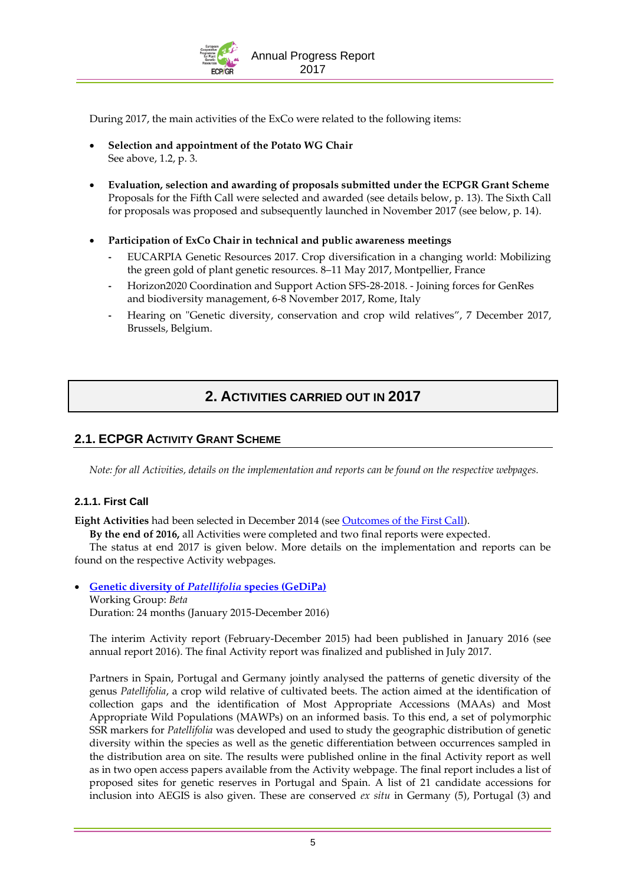

During 2017, the main activities of the ExCo were related to the following items:

- **Selection and appointment of the Potato WG Chair**  See above, 1.2, p. [3.](#page-4-0)
- **Evaluation, selection and awarding of proposals submitted under the ECPGR Grant Scheme** Proposals for the Fifth Call were selected and awarded (see details below, p[. 13\)](#page-14-0). The Sixth Call for proposals was proposed and subsequently launched in November 2017 (see below, p. [14\)](#page-15-0).
- **Participation of ExCo Chair in technical and public awareness meetings**
	- **-** EUCARPIA Genetic Resources 2017. Crop diversification in a changing world: Mobilizing the green gold of plant genetic resources. 8–11 May 2017, Montpellier, France
	- **-** Horizon2020 Coordination and Support Action SFS-28-2018. Joining forces for GenRes and biodiversity management, 6-8 November 2017, Rome, Italy
	- **-** Hearing on "Genetic diversity, conservation and crop wild relatives", 7 December 2017, Brussels, Belgium.

# **2. ACTIVITIES CARRIED OUT IN 2017**

### **2.1. ECPGR ACTIVITY GRANT SCHEME**

*Note: for all Activities, details on the implementation and reports can be found on the respective webpages.* 

### **2.1.1. First Call**

**Eight Activities** had been selected in December 2014 (see Outcomes of the First Call).

**By the end of 2016,** all Activities were completed and two final reports were expected.

The status at end 2017 is given below. More details on the implementation and reports can be found on the respective Activity webpages.

**[Genetic diversity of](http://www.ecpgr.cgiar.org/working-groups/beta/gedipa/)** *Patellifolia* **species (GeDiPa)**

Working Group: *Beta*

Duration: 24 months (January 2015-December 2016)

The interim Activity report (February-December 2015) had been published in January 2016 (see annual report 2016). The final Activity report was finalized and published in July 2017.

Partners in Spain, Portugal and Germany jointly analysed the patterns of genetic diversity of the genus *Patellifolia*, a crop wild relative of cultivated beets. The action aimed at the identification of collection gaps and the identification of Most Appropriate Accessions (MAAs) and Most Appropriate Wild Populations (MAWPs) on an informed basis. To this end, a set of polymorphic SSR markers for *Patellifolia* was developed and used to study the geographic distribution of genetic diversity within the species as well as the genetic differentiation between occurrences sampled in the distribution area on site. The results were published online in the final Activity report as well as in two open access papers available from the Activity webpage. The final report includes a list of proposed sites for genetic reserves in Portugal and Spain. A list of 21 candidate accessions for inclusion into AEGIS is also given. These are conserved *ex situ* in Germany (5), Portugal (3) and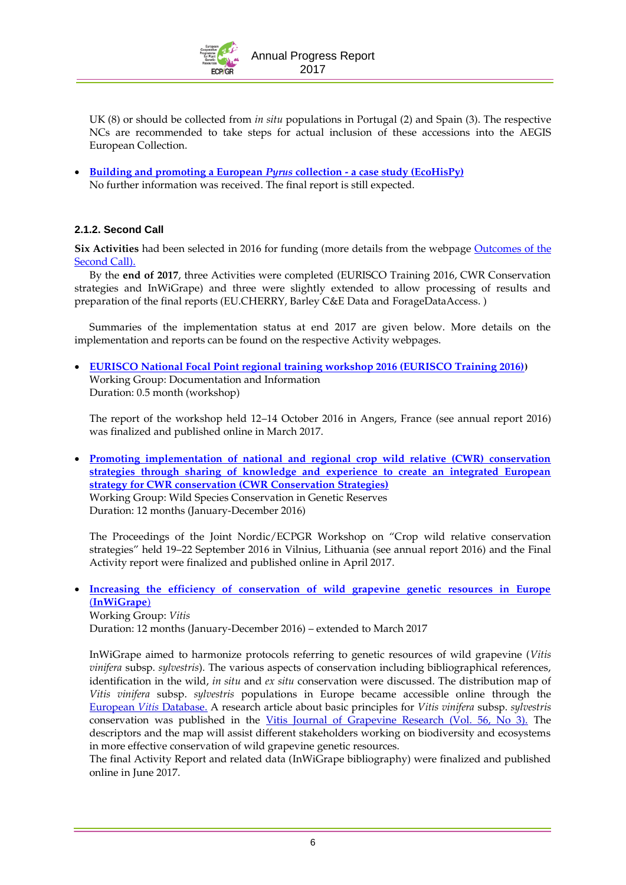

UK (8) or should be collected from *in situ* populations in Portugal (2) and Spain (3). The respective NCs are recommended to take steps for actual inclusion of these accessions into the AEGIS European Collection.

 **[Building and promoting a European](http://www.ecpgr.cgiar.org/working-groups/maluspyrus/ecohispy/)** *Pyrus* **collection - a case study (EcoHisPy)** No further information was received. The final report is still expected.

### **2.1.2. Second Call**

**Six Activities** had been selected in 2016 for funding (more details from the webpage [Outcomes of the](http://www.ecpgr.cgiar.org/funding-opportunities/outcomes-of-the-second-call/)  [Second Call\)](http://www.ecpgr.cgiar.org/funding-opportunities/outcomes-of-the-second-call/).

By the **end of 2017**, three Activities were completed (EURISCO Training 2016, CWR Conservation strategies and InWiGrape) and three were slightly extended to allow processing of results and preparation of the final reports (EU.CHERRY, Barley C&E Data and [ForageDataAccess.](http://www.ecpgr.cgiar.org/working-groups/forages/foragedataaccess/) )

Summaries of the implementation status at end 2017 are given below. More details on the implementation and reports can be found on the respective Activity webpages.

 **[EURISCO National Focal Point regional training workshop 2016 \(EURISCO Training 2016\)](http://www.ecpgr.cgiar.org/working-groups/documentation-information/eurisco-training-workshop-2016/))** Working Group: Documentation and Information Duration: 0.5 month (workshop)

The report of the workshop held 12–14 October 2016 in Angers, France (see annual report 2016) was finalized and published online in March 2017.

 **[Promoting implementation of national and regional crop wild relative \(CWR\) conservation](http://www.ecpgr.cgiar.org/working-groups/wild-species-conservation/cwr-conservation-strategies/)  [strategies through sharing of knowledge and experience to create an integrated European](http://www.ecpgr.cgiar.org/working-groups/wild-species-conservation/cwr-conservation-strategies/)  [strategy for CWR conservation \(CWR Conservation Strategies\)](http://www.ecpgr.cgiar.org/working-groups/wild-species-conservation/cwr-conservation-strategies/)** Working Group: Wild Species Conservation in Genetic Reserves Duration: 12 months (January-December 2016)

The Proceedings of the Joint Nordic/ECPGR Workshop on "Crop wild relative conservation strategies" held 19–22 September 2016 in Vilnius, Lithuania (see annual report 2016) and the Final Activity report were finalized and published online in April 2017.

 **[Increasing the efficiency of conservation of wild grapevine genetic resources in Europe](http://www.ecpgr.cgiar.org/working-groups/vitis/inwigrape/)** (**[InWiGrape](http://www.ecpgr.cgiar.org/working-groups/vitis/inwigrape/)**) Working Group: *Vitis* Duration: 12 months (January-December 2016) – extended to March 2017

InWiGrape aimed to harmonize protocols referring to genetic resources of wild grapevine (*Vitis vinifera* subsp. *sylvestris*). The various aspects of conservation including bibliographical references, identification in the wild, *in situ* and *ex situ* conservation were discussed. The distribution map of *Vitis vinifera* subsp. *sylvestris* populations in Europe became accessible online through the [European](http://www.eu-vitis.de/index.php) *Vitis* Database. A research article about basic principles for *Vitis vinifera* subsp. *sylvestris*  conservation was published in the [Vitis Journal of Grapevine Research \(Vol. 56, No 3\).](https://ojs.openagrar.de/index.php/VITIS/article/view/8188) The descriptors and the map will assist different stakeholders working on biodiversity and ecosystems in more effective conservation of wild grapevine genetic resources.

The final Activity Report and related data (InWiGrape bibliography) were finalized and published online in June 2017.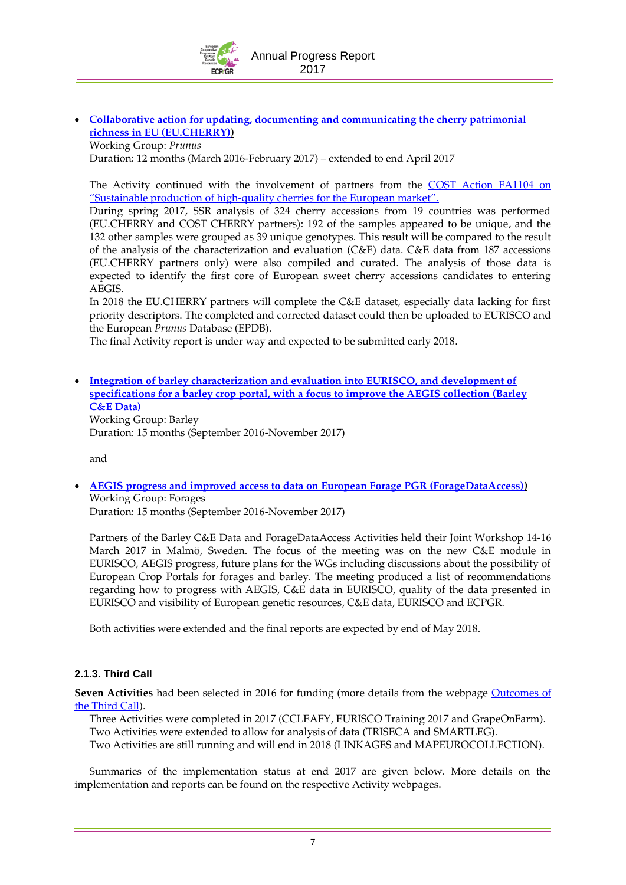

<span id="page-8-0"></span> **[Collaborative action for updating, documenting and communicating the cherry patrimonial](http://www.ecpgr.cgiar.org/working-groups/prunus/eucherry/)  [richness in EU \(EU.CHERRY\)\)](http://www.ecpgr.cgiar.org/working-groups/prunus/eucherry/)**

Working Group: *Prunus* Duration: 12 months (March 2016-February 2017) – extended to end April 2017

The Activity continued with the involvement of partners from the [COST Action FA1104 on](http://www.cost.eu/COST_Actions/fa/FA1104)  "Sustainable production of high[-quality cherries for the European market](http://www.cost.eu/COST_Actions/fa/FA1104)".

During spring 2017, SSR analysis of 324 cherry accessions from 19 countries was performed (EU.CHERRY and COST CHERRY partners): 192 of the samples appeared to be unique, and the 132 other samples were grouped as 39 unique genotypes. This result will be compared to the result of the analysis of the characterization and evaluation (C&E) data. C&E data from 187 accessions (EU.CHERRY partners only) were also compiled and curated. The analysis of those data is expected to identify the first core of European sweet cherry accessions candidates to entering AEGIS.

In 2018 the EU.CHERRY partners will complete the C&E dataset, especially data lacking for first priority descriptors. The completed and corrected dataset could then be uploaded to EURISCO and the European *Prunus* Database (EPDB).

The final Activity report is under way and expected to be submitted early 2018.

 **[Integration of barley characterization and evaluation into EURISCO, and development of](http://www.ecpgr.cgiar.org/working-groups/barley/barley-ce-data/)  [specifications for a barley crop portal, with a focus to improve the AEGIS collection \(Barley](http://www.ecpgr.cgiar.org/working-groups/barley/barley-ce-data/)  [C&E Data\)](http://www.ecpgr.cgiar.org/working-groups/barley/barley-ce-data/)** Working Group: Barley Duration: 15 months (September 2016-November 2017)

and

 **[AEGIS progress and improved access to data on European Forage PGR \(ForageDataAccess\)\)](http://www.ecpgr.cgiar.org/working-groups/forages/foragedataaccess/)** Working Group: Forages

Duration: 15 months (September 2016-November 2017)

Partners of the Barley C&E Data and ForageDataAccess Activities held their Joint Workshop 14-16 March 2017 in Malmö, Sweden. The focus of the meeting was on the new C&E module in EURISCO, AEGIS progress, future plans for the WGs including discussions about the possibility of European Crop Portals for forages and barley. The meeting produced a list of recommendations regarding how to progress with AEGIS, C&E data in EURISCO, quality of the data presented in EURISCO and visibility of European genetic resources, C&E data, EURISCO and ECPGR.

Both activities were extended and the final reports are expected by end of May 2018.

### **2.1.3. Third Call**

**Seven Activities** had been selected in 2016 for funding (more details from the webpage [Outcomes of](http://www.ecpgr.cgiar.org/funding-opportunities/outcomes-of-the-third-call/)  [the Third Call\)](http://www.ecpgr.cgiar.org/funding-opportunities/outcomes-of-the-third-call/).

Three Activities were completed in 2017 (CCLEAFY, EURISCO Training 2017 and GrapeOnFarm). Two Activities were extended to allow for analysis of data (TRISECA and SMARTLEG).

Two Activities are still running and will end in 2018 (LINKAGES and MAPEUROCOLLECTION).

Summaries of the implementation status at end 2017 are given below. More details on the implementation and reports can be found on the respective Activity webpages.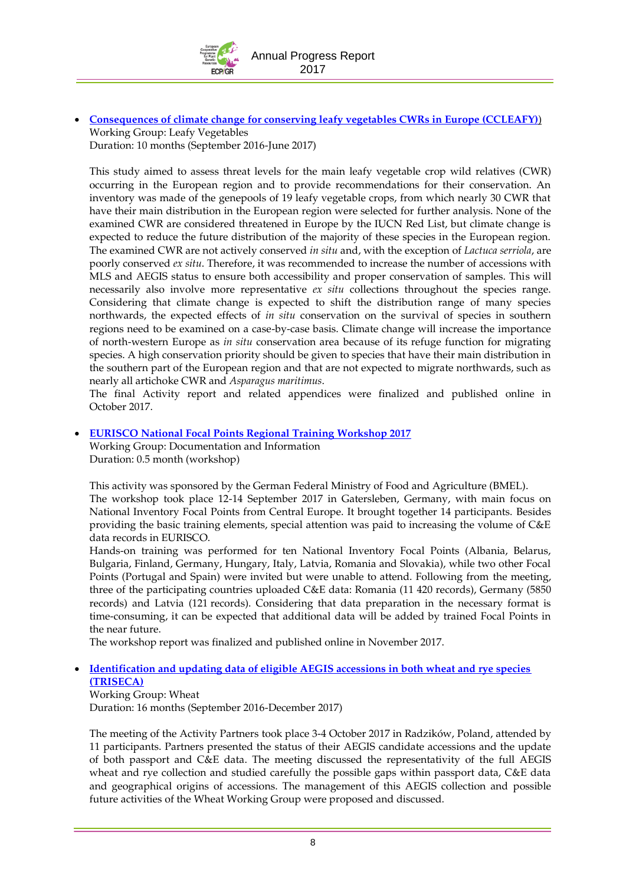

 **[Consequences of climate change for conserving leafy vegetables CWRs in Europe \(CCLEAFY\)](http://www.ecpgr.cgiar.org/working-groups/leafy-vegetables/ccleafy/)**) Working Group: Leafy Vegetables Duration: 10 months (September 2016-June 2017)

This study aimed to assess threat levels for the main leafy vegetable crop wild relatives (CWR) occurring in the European region and to provide recommendations for their conservation. An inventory was made of the genepools of 19 leafy vegetable crops, from which nearly 30 CWR that have their main distribution in the European region were selected for further analysis. None of the examined CWR are considered threatened in Europe by the IUCN Red List, but climate change is expected to reduce the future distribution of the majority of these species in the European region. The examined CWR are not actively conserved *in situ* and, with the exception of *Lactuca serriola*, are poorly conserved *ex situ*. Therefore, it was recommended to increase the number of accessions with MLS and AEGIS status to ensure both accessibility and proper conservation of samples. This will necessarily also involve more representative *ex situ* collections throughout the species range. Considering that climate change is expected to shift the distribution range of many species northwards, the expected effects of *in situ* conservation on the survival of species in southern regions need to be examined on a case-by-case basis. Climate change will increase the importance of north-western Europe as *in situ* conservation area because of its refuge function for migrating species. A high conservation priority should be given to species that have their main distribution in the southern part of the European region and that are not expected to migrate northwards, such as nearly all artichoke CWR and *Asparagus maritimus*.

The final Activity report and related appendices were finalized and published online in October 2017.

### <span id="page-9-0"></span>**[EURISCO National Focal Points Regional Training Workshop 2017](http://www.ecpgr.cgiar.org/working-groups/documentation-information/eurisco-national-focal-points-training-workshop-2017/)**

Working Group: Documentation and Information Duration: 0.5 month (workshop)

This activity was sponsored by the German Federal Ministry of Food and Agriculture (BMEL). The workshop took place 12-14 September 2017 in Gatersleben, Germany, with main focus on National Inventory Focal Points from Central Europe. It brought together 14 participants. Besides providing the basic training elements, special attention was paid to increasing the volume of C&E data records in EURISCO.

Hands-on training was performed for ten National Inventory Focal Points (Albania, Belarus, Bulgaria, Finland, Germany, Hungary, Italy, Latvia, Romania and Slovakia), while two other Focal Points (Portugal and Spain) were invited but were unable to attend. Following from the meeting, three of the participating countries uploaded C&E data: Romania (11 420 records), Germany (5850 records) and Latvia (121 records). Considering that data preparation in the necessary format is time-consuming, it can be expected that additional data will be added by trained Focal Points in the near future.

The workshop report was finalized and published online in November 2017.

### **[Identification and updating data of eligible AEGIS accessions in both wheat and rye species](http://www.ecpgr.cgiar.org/working-groups/wheat/triseca/)  [\(TRISECA\)](http://www.ecpgr.cgiar.org/working-groups/wheat/triseca/)**

Working Group: Wheat Duration: 16 months (September 2016-December 2017)

The meeting of the Activity Partners took place 3-4 October 2017 in Radzików, Poland, attended by 11 participants. Partners presented the status of their AEGIS candidate accessions and the update of both passport and C&E data. The meeting discussed the representativity of the full AEGIS wheat and rye collection and studied carefully the possible gaps within passport data, C&E data and geographical origins of accessions. The management of this AEGIS collection and possible future activities of the Wheat Working Group were proposed and discussed.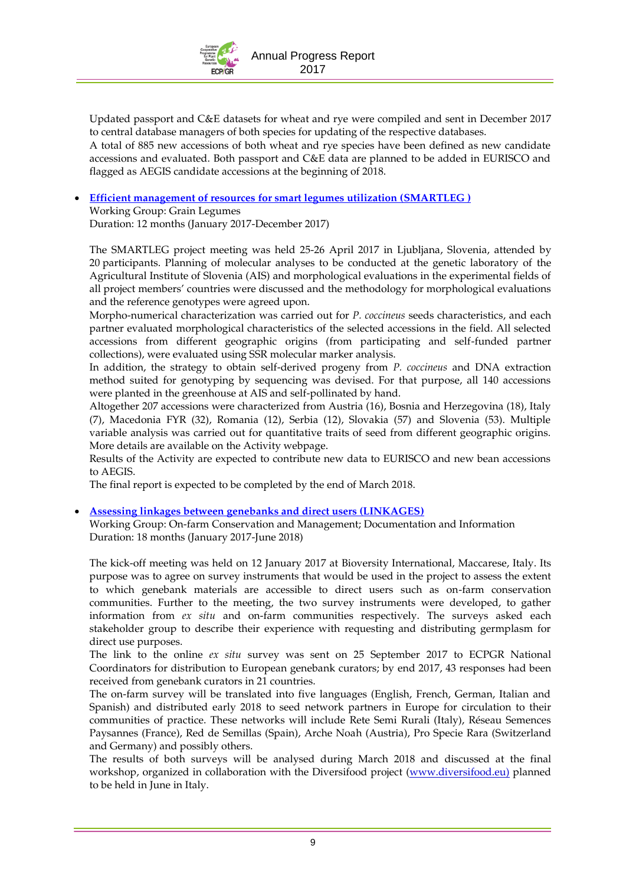

Updated passport and C&E datasets for wheat and rye were compiled and sent in December 2017 to central database managers of both species for updating of the respective databases. A total of 885 new accessions of both wheat and rye species have been defined as new candidate accessions and evaluated. Both passport and C&E data are planned to be added in EURISCO and flagged as AEGIS candidate accessions at the beginning of 2018.

**[Efficient management of resources for smart legumes utilization \(SMARTLEG \)](http://www.ecpgr.cgiar.org/working-groups/grain-legumes/smartleg/)**

Working Group: Grain Legumes Duration: 12 months (January 2017-December 2017)

The SMARTLEG project meeting was held 25-26 April 2017 in Ljubljana, Slovenia, attended by 20 participants. Planning of molecular analyses to be conducted at the genetic laboratory of the Agricultural Institute of Slovenia (AIS) and morphological evaluations in the experimental fields of all project members' countries were discussed and the methodology for morphological evaluations and the reference genotypes were agreed upon.

Morpho-numerical characterization was carried out for *P. coccineus* seeds characteristics, and each partner evaluated morphological characteristics of the selected accessions in the field. All selected accessions from different geographic origins (from participating and self-funded partner collections), were evaluated using SSR molecular marker analysis.

In addition, the strategy to obtain self-derived progeny from *P. coccineus* and DNA extraction method suited for genotyping by sequencing was devised. For that purpose, all 140 accessions were planted in the greenhouse at AIS and self-pollinated by hand.

Altogether 207 accessions were characterized from Austria (16), Bosnia and Herzegovina (18), Italy (7), Macedonia FYR (32), Romania (12), Serbia (12), Slovakia (57) and Slovenia (53). Multiple variable analysis was carried out for quantitative traits of seed from different geographic origins. More details are available on the Activity webpage.

Results of the Activity are expected to contribute new data to EURISCO and new bean accessions to AEGIS.

The final report is expected to be completed by the end of March 2018.

**[Assessing linkages between genebanks and direct users \(LINKAGES\)](http://www.ecpgr.cgiar.org/working-groups/on-farm-conservation/linkages/)**

Working Group: On-farm Conservation and Management; Documentation and Information Duration: 18 months (January 2017-June 2018)

The kick-off meeting was held on 12 January 2017 at Bioversity International, Maccarese, Italy. Its purpose was to agree on survey instruments that would be used in the project to assess the extent to which genebank materials are accessible to direct users such as on-farm conservation communities. Further to the meeting, the two survey instruments were developed, to gather information from *ex situ* and on-farm communities respectively. The surveys asked each stakeholder group to describe their experience with requesting and distributing germplasm for direct use purposes.

The link to the online *ex situ* survey was sent on 25 September 2017 to ECPGR National Coordinators for distribution to European genebank curators; by end 2017, 43 responses had been received from genebank curators in 21 countries.

The on-farm survey will be translated into five languages (English, French, German, Italian and Spanish) and distributed early 2018 to seed network partners in Europe for circulation to their communities of practice. These networks will include Rete Semi Rurali (Italy), Réseau Semences Paysannes (France), Red de Semillas (Spain), Arche Noah (Austria), Pro Specie Rara (Switzerland and Germany) and possibly others.

The results of both surveys will be analysed during March 2018 and discussed at the final workshop, organized in collaboration with the Diversifood project [\(www.diversifood.eu\)](http://www.diversifood.eu/) planned to be held in June in Italy.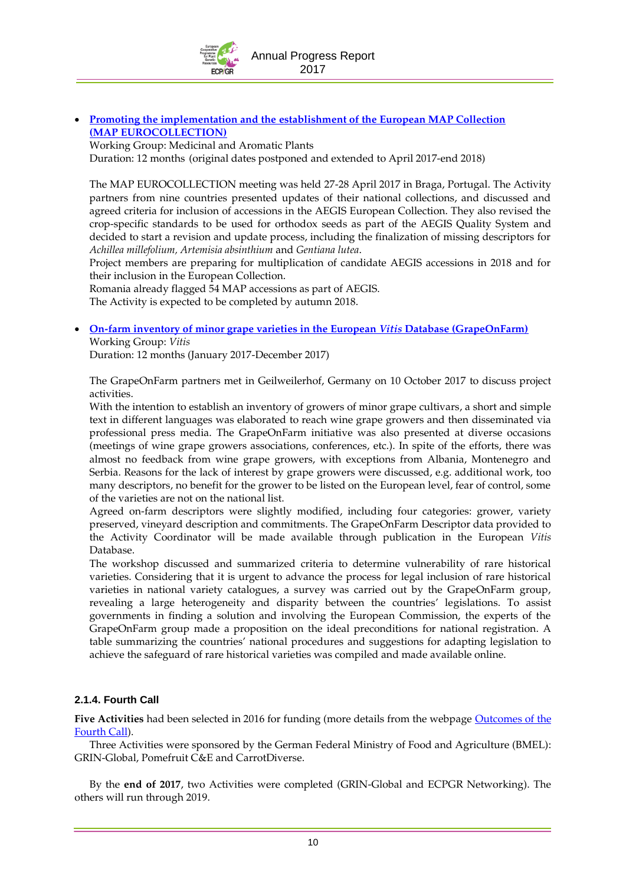Annual Progress Report 2017

 **[Promoting the implementation and the establishment of the European MAP Collection](http://www.ecpgr.cgiar.org/working-groups/medicinal-and-aromatic-plants/map-eurocollection/)  (MAP [EUROCOLLECTION\)](http://www.ecpgr.cgiar.org/working-groups/medicinal-and-aromatic-plants/map-eurocollection/)**

Working Group: Medicinal and Aromatic Plants

Duration: 12 months (original dates postponed and extended to April 2017-end 2018)

The MAP EUROCOLLECTION meeting was held 27-28 April 2017 in Braga, Portugal. The Activity partners from nine countries presented updates of their national collections, and discussed and agreed criteria for inclusion of accessions in the AEGIS European Collection. They also revised the crop-specific standards to be used for orthodox seeds as part of the AEGIS Quality System and decided to start a revision and update process, including the finalization of missing descriptors for *Achillea millefolium, Artemisia absinthium* and *Gentiana lutea*.

Project members are preparing for multiplication of candidate AEGIS accessions in 2018 and for their inclusion in the European Collection.

Romania already flagged 54 MAP accessions as part of AEGIS.

The Activity is expected to be completed by autumn 2018.

 **[On-farm inventory of minor grape varieties in the European](http://www.ecpgr.cgiar.org/working-groups/vitis/grapeonfarm/)** *Vitis* **Database (GrapeOnFarm)** Working Group: *Vitis*

Duration: 12 months (January 2017-December 2017)

The GrapeOnFarm partners met in Geilweilerhof, Germany on 10 October 2017 to discuss project activities.

With the intention to establish an inventory of growers of minor grape cultivars, a short and simple text in different languages was elaborated to reach wine grape growers and then disseminated via professional press media. The GrapeOnFarm initiative was also presented at diverse occasions (meetings of wine grape growers associations, conferences, etc.). In spite of the efforts, there was almost no feedback from wine grape growers, with exceptions from Albania, Montenegro and Serbia. Reasons for the lack of interest by grape growers were discussed, e.g. additional work, too many descriptors, no benefit for the grower to be listed on the European level, fear of control, some of the varieties are not on the national list.

Agreed on-farm descriptors were slightly modified, including four categories: grower, variety preserved, vineyard description and commitments. The GrapeOnFarm Descriptor data provided to the Activity Coordinator will be made available through publication in the European *Vitis*  Database.

The workshop discussed and summarized criteria to determine vulnerability of rare historical varieties. Considering that it is urgent to advance the process for legal inclusion of rare historical varieties in national variety catalogues, a survey was carried out by the GrapeOnFarm group, revealing a large heterogeneity and disparity between the countries' legislations. To assist governments in finding a solution and involving the European Commission, the experts of the GrapeOnFarm group made a proposition on the ideal preconditions for national registration. A table summarizing the countries' national procedures and suggestions for adapting legislation to achieve the safeguard of rare historical varieties was compiled and made available online.

### **2.1.4. Fourth Call**

**Five Activities** had been selected in 2016 for funding (more details from the webpage [Outcomes of the](http://www.ecpgr.cgiar.org/funding-opportunities/outcomes-of-the-fourth-call/)  [Fourth Call\)](http://www.ecpgr.cgiar.org/funding-opportunities/outcomes-of-the-fourth-call/).

Three Activities were sponsored by the German Federal Ministry of Food and Agriculture (BMEL): GRIN-Global, Pomefruit C&E and CarrotDiverse.

By the **end of 2017**, two Activities were completed (GRIN-Global and ECPGR Networking). The others will run through 2019.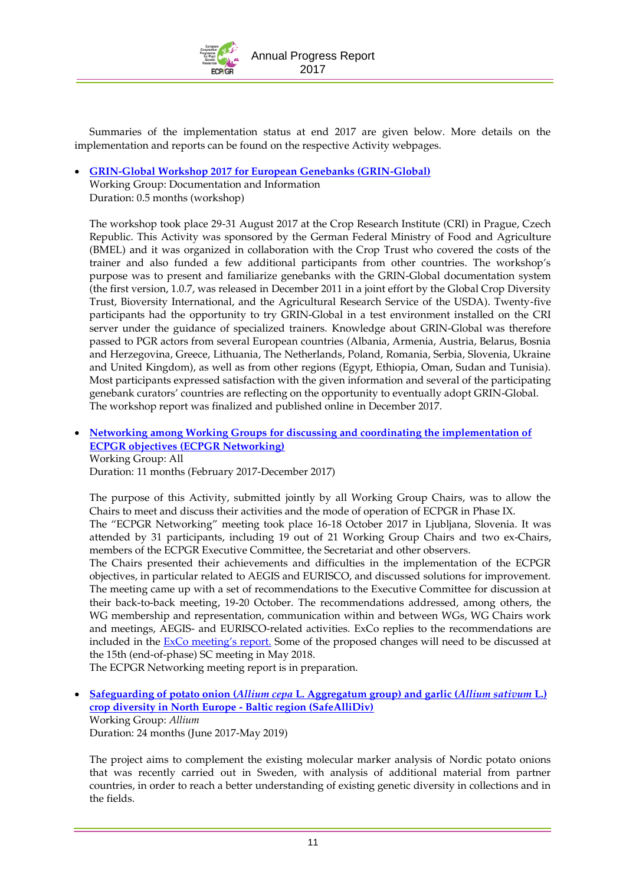

Summaries of the implementation status at end 2017 are given below. More details on the implementation and reports can be found on the respective Activity webpages.

- **[GRIN-Global Workshop 2017 for European Genebanks \(GRIN-Global\)](http://www.ecpgr.cgiar.org/working-groups/documentation-information/grin-global/)**
	- Working Group: Documentation and Information Duration: 0.5 months (workshop)

The workshop took place 29-31 August 2017 at the Crop Research Institute (CRI) in Prague, Czech Republic. This Activity was sponsored by the German Federal Ministry of Food and Agriculture (BMEL) and it was organized in collaboration with the Crop Trust who covered the costs of the trainer and also funded a few additional participants from other countries. The workshop's purpose was to present and familiarize genebanks with the GRIN-Global documentation system (the first version, 1.0.7, was released in December 2011 in a joint effort by the Global Crop Diversity Trust, Bioversity International, and the Agricultural Research Service of the USDA). Twenty-five participants had the opportunity to try GRIN-Global in a test environment installed on the CRI server under the guidance of specialized trainers. Knowledge about GRIN-Global was therefore passed to PGR actors from several European countries (Albania, Armenia, Austria, Belarus, Bosnia and Herzegovina, Greece, Lithuania, The Netherlands, Poland, Romania, Serbia, Slovenia, Ukraine and United Kingdom), as well as from other regions (Egypt, Ethiopia, Oman, Sudan and Tunisia). Most participants expressed satisfaction with the given information and several of the participating genebank curators' countries are reflecting on the opportunity to eventually adopt GRIN-Global. The workshop report was finalized and published online in December 2017.

 **[Networking among Working Groups for discussing and coordinating the implementation of](http://www.ecpgr.cgiar.org/working-groups/common-working-group-activities/ecpgr-networking/)  [ECPGR objectives \(ECPGR Networking\)](http://www.ecpgr.cgiar.org/working-groups/common-working-group-activities/ecpgr-networking/)** Working Group: All

Duration: 11 months (February 2017-December 2017)

The purpose of this Activity, submitted jointly by all Working Group Chairs, was to allow the Chairs to meet and discuss their activities and the mode of operation of ECPGR in Phase IX. The "ECPGR Networking" meeting took place 16-18 October 2017 in Ljubljana, Slovenia. It was

attended by 31 participants, including 19 out of 21 Working Group Chairs and two ex-Chairs, members of the ECPGR Executive Committee, the Secretariat and other observers. The Chairs presented their achievements and difficulties in the implementation of the ECPGR

objectives, in particular related to AEGIS and EURISCO, and discussed solutions for improvement. The meeting came up with a set of recommendations to the Executive Committee for discussion at their back-to-back meeting, 19-20 October. The recommendations addressed, among others, the WG membership and representation, communication within and between WGs, WG Chairs work and meetings, AEGIS- and EURISCO-related activities. ExCo replies to the recommendations are included in the **ExCo** meeting's report. Some of the proposed changes will need to be discussed at the 15th (end-of-phase) SC meeting in May 2018.

The ECPGR Networking meeting report is in preparation.

 **Safeguarding of potato onion (***Allium cepa* **[L. Aggregatum group\) and garlic \(](http://www.ecpgr.cgiar.org/working-groups/allium/safeallidiv/)***Allium sativum* **L.) [crop diversity in North Europe -](http://www.ecpgr.cgiar.org/working-groups/allium/safeallidiv/) Baltic region (SafeAlliDiv)** Working Group: *Allium* Duration: 24 months (June 2017-May 2019)

The project aims to complement the existing molecular marker analysis of Nordic potato onions that was recently carried out in Sweden, with analysis of additional material from partner countries, in order to reach a better understanding of existing genetic diversity in collections and in the fields.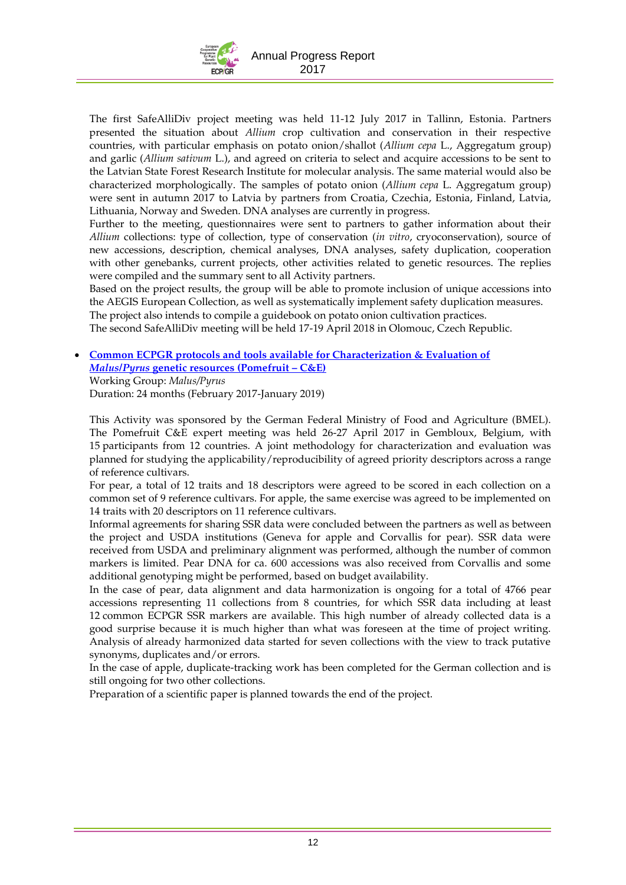

The first SafeAlliDiv project meeting was held 11-12 July 2017 in Tallinn, Estonia. Partners presented the situation about *Allium* crop cultivation and conservation in their respective countries, with particular emphasis on potato onion/shallot (*Allium cepa* L., Aggregatum group) and garlic (*Allium sativum* L.), and agreed on criteria to select and acquire accessions to be sent to the Latvian State Forest Research Institute for molecular analysis. The same material would also be characterized morphologically. The samples of potato onion (*Allium cepa* L. Aggregatum group) were sent in autumn 2017 to Latvia by partners from Croatia, Czechia, Estonia, Finland, Latvia, Lithuania, Norway and Sweden. DNA analyses are currently in progress.

Further to the meeting, questionnaires were sent to partners to gather information about their *Allium* collections: type of collection, type of conservation (*in vitro*, cryoconservation), source of new accessions, description, chemical analyses, DNA analyses, safety duplication, cooperation with other genebanks, current projects, other activities related to genetic resources. The replies were compiled and the summary sent to all Activity partners.

Based on the project results, the group will be able to promote inclusion of unique accessions into the AEGIS European Collection, as well as systematically implement safety duplication measures.

The project also intends to compile a guidebook on potato onion cultivation practices.

The second SafeAlliDiv meeting will be held 17-19 April 2018 in Olomouc, Czech Republic.

### **[Common ECPGR protocols and tools available for Characterization & Evaluation of](http://www.ecpgr.cgiar.org/working-groups/maluspyrus/pomefruit-ce/)**  *Malus/Pyrus* **[genetic resources](http://www.ecpgr.cgiar.org/working-groups/maluspyrus/pomefruit-ce/) (Pomefruit – C&E)** Working Group: *Malus/Pyrus*

Duration: 24 months (February 2017-January 2019)

This Activity was sponsored by the German Federal Ministry of Food and Agriculture (BMEL). The Pomefruit C&E expert meeting was held 26-27 April 2017 in Gembloux, Belgium, with 15 participants from 12 countries. A joint methodology for characterization and evaluation was planned for studying the applicability/reproducibility of agreed priority descriptors across a range of reference cultivars.

For pear, a total of 12 traits and 18 descriptors were agreed to be scored in each collection on a common set of 9 reference cultivars. For apple, the same exercise was agreed to be implemented on 14 traits with 20 descriptors on 11 reference cultivars.

Informal agreements for sharing SSR data were concluded between the partners as well as between the project and USDA institutions (Geneva for apple and Corvallis for pear). SSR data were received from USDA and preliminary alignment was performed, although the number of common markers is limited. Pear DNA for ca. 600 accessions was also received from Corvallis and some additional genotyping might be performed, based on budget availability.

In the case of pear, data alignment and data harmonization is ongoing for a total of 4766 pear accessions representing 11 collections from 8 countries, for which SSR data including at least 12 common ECPGR SSR markers are available. This high number of already collected data is a good surprise because it is much higher than what was foreseen at the time of project writing. Analysis of already harmonized data started for seven collections with the view to track putative synonyms, duplicates and/or errors.

In the case of apple, duplicate-tracking work has been completed for the German collection and is still ongoing for two other collections.

Preparation of a scientific paper is planned towards the end of the project.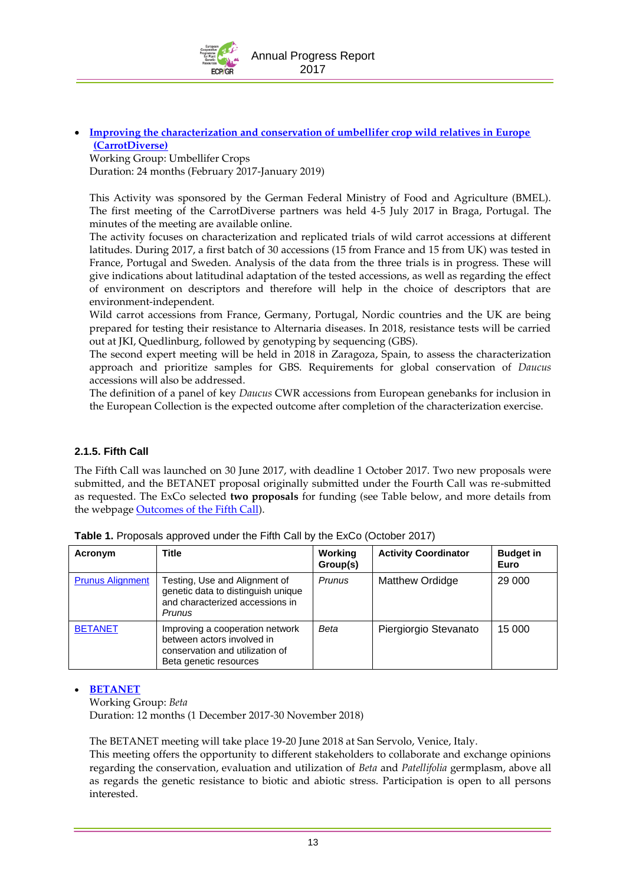

 **[Improving the characterization and conservation of umbellifer crop wild relatives in Europe](http://www.ecpgr.cgiar.org/working-groups/umbellifer-crops/carrotdiverse/) [\(CarrotDiverse\)](http://www.ecpgr.cgiar.org/working-groups/umbellifer-crops/carrotdiverse/)**

Working Group: Umbellifer Crops Duration: 24 months (February 2017-January 2019)

This Activity was sponsored by the German Federal Ministry of Food and Agriculture (BMEL). The first meeting of the CarrotDiverse partners was held 4-5 July 2017 in Braga, Portugal. The minutes of the meeting are available online.

The activity focuses on characterization and replicated trials of wild carrot accessions at different latitudes. During 2017, a first batch of 30 accessions (15 from France and 15 from UK) was tested in France, Portugal and Sweden. Analysis of the data from the three trials is in progress. These will give indications about latitudinal adaptation of the tested accessions, as well as regarding the effect of environment on descriptors and therefore will help in the choice of descriptors that are environment-independent.

Wild carrot accessions from France, Germany, Portugal, Nordic countries and the UK are being prepared for testing their resistance to Alternaria diseases. In 2018, resistance tests will be carried out at JKI, Quedlinburg, followed by genotyping by sequencing (GBS).

The second expert meeting will be held in 2018 in Zaragoza, Spain, to assess the characterization approach and prioritize samples for GBS. Requirements for global conservation of *Daucus* accessions will also be addressed.

The definition of a panel of key *Daucus* CWR accessions from European genebanks for inclusion in the European Collection is the expected outcome after completion of the characterization exercise.

### <span id="page-14-0"></span>**2.1.5. Fifth Call**

The Fifth Call was launched on 30 June 2017, with deadline 1 October 2017. Two new proposals were submitted, and the BETANET proposal originally submitted under the Fourth Call was re-submitted as requested. The ExCo selected **two proposals** for funding (see Table below, and more details from the webpage [Outcomes of the Fifth Call\)](http://www.ecpgr.cgiar.org/funding-opportunities/outcomes-of-the-fifth-call/).

| Acronym                 | Title                                                                                                                      | Working<br>Group(s) | <b>Activity Coordinator</b> | <b>Budget in</b><br>Euro |
|-------------------------|----------------------------------------------------------------------------------------------------------------------------|---------------------|-----------------------------|--------------------------|
| <b>Prunus Alignment</b> | Testing, Use and Alignment of<br>genetic data to distinguish unique<br>and characterized accessions in<br>Prunus           | <b>Prunus</b>       | Matthew Ordidge             | 29 000                   |
| <b>BETANET</b>          | Improving a cooperation network<br>between actors involved in<br>conservation and utilization of<br>Beta genetic resources | Beta                | Piergiorgio Stevanato       | 15 000                   |

|  | Table 1. Proposals approved under the Fifth Call by the ExCo (October 2017) |  |  |  |  |  |  |  |
|--|-----------------------------------------------------------------------------|--|--|--|--|--|--|--|
|--|-----------------------------------------------------------------------------|--|--|--|--|--|--|--|

#### **[BETANET](http://www.ecpgr.cgiar.org/working-groups/beta/betanet/)**

Working Group: *Beta*

Duration: 12 months (1 December 2017-30 November 2018)

The BETANET meeting will take place 19-20 June 2018 at San Servolo, Venice, Italy.

This meeting offers the opportunity to different stakeholders to collaborate and exchange opinions regarding the conservation, evaluation and utilization of *Beta* and *Patellifolia* germplasm, above all as regards the genetic resistance to biotic and abiotic stress. Participation is open to all persons interested.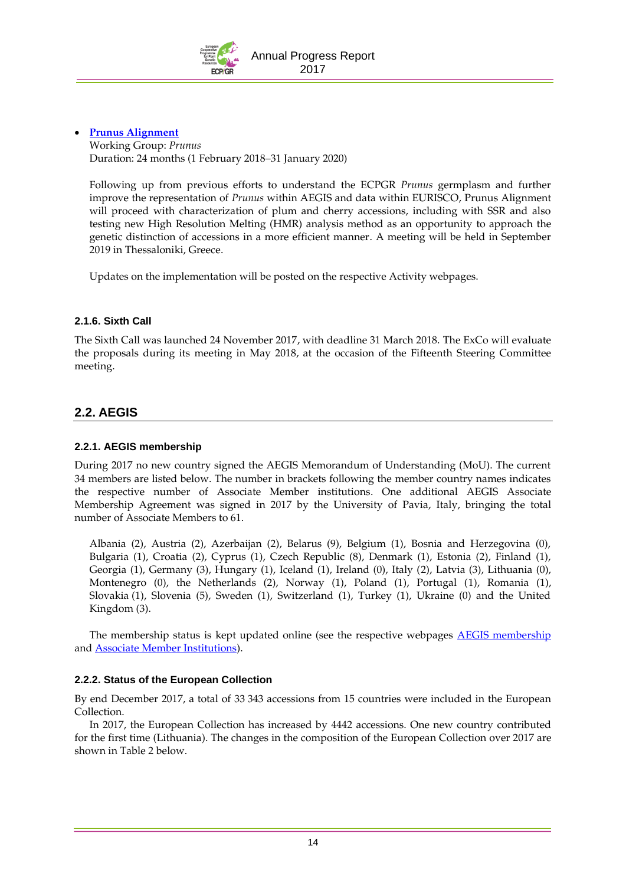

### **[Prunus Alignment](http://www.ecpgr.cgiar.org/working-groups/prunus/prunus-alignment/)**

Working Group: *Prunus*  Duration: 24 months (1 February 2018–31 January 2020)

Following up from previous efforts to understand the ECPGR *Prunus* germplasm and further improve the representation of *Prunus* within AEGIS and data within EURISCO, Prunus Alignment will proceed with characterization of plum and cherry accessions, including with SSR and also testing new High Resolution Melting (HMR) analysis method as an opportunity to approach the genetic distinction of accessions in a more efficient manner. A meeting will be held in September 2019 in Thessaloniki, Greece.

Updates on the implementation will be posted on the respective Activity webpages.

### <span id="page-15-0"></span>**2.1.6. Sixth Call**

The Sixth Call was launched 24 November 2017, with deadline 31 March 2018. The ExCo will evaluate the proposals during its meeting in May 2018, at the occasion of the Fifteenth Steering Committee meeting.

# **2.2. AEGIS**

### **2.2.1. AEGIS membership**

During 2017 no new country signed the AEGIS Memorandum of Understanding (MoU). The current 34 members are listed below. The number in brackets following the member country names indicates the respective number of Associate Member institutions. One additional AEGIS Associate Membership Agreement was signed in 2017 by the University of Pavia, Italy, bringing the total number of Associate Members to 61.

Albania (2), Austria (2), Azerbaijan (2), Belarus (9), Belgium (1), Bosnia and Herzegovina (0), Bulgaria (1), Croatia (2), Cyprus (1), Czech Republic (8), Denmark (1), Estonia (2), Finland (1), Georgia (1), Germany (3), Hungary (1), Iceland (1), Ireland (0), Italy (2), Latvia (3), Lithuania (0), Montenegro (0), the Netherlands (2), Norway (1), Poland (1), Portugal (1), Romania (1), Slovakia (1), Slovenia (5), Sweden (1), Switzerland (1), Turkey (1), Ukraine (0) and the United Kingdom (3).

The membership status is kept updated online (see the respective webpages **AEGIS** membership and [Associate Member Institutions\)](http://www.ecpgr.cgiar.org/aegis/aegis-membership/associate-member-institutions/).

### **2.2.2. Status of the European Collection**

By end December 2017, a total of 33 343 accessions from 15 countries were included in the European Collection.

In 2017, the European Collection has increased by 4442 accessions. One new country contributed for the first time (Lithuania). The changes in the composition of the European Collection over 2017 are shown in Table 2 below.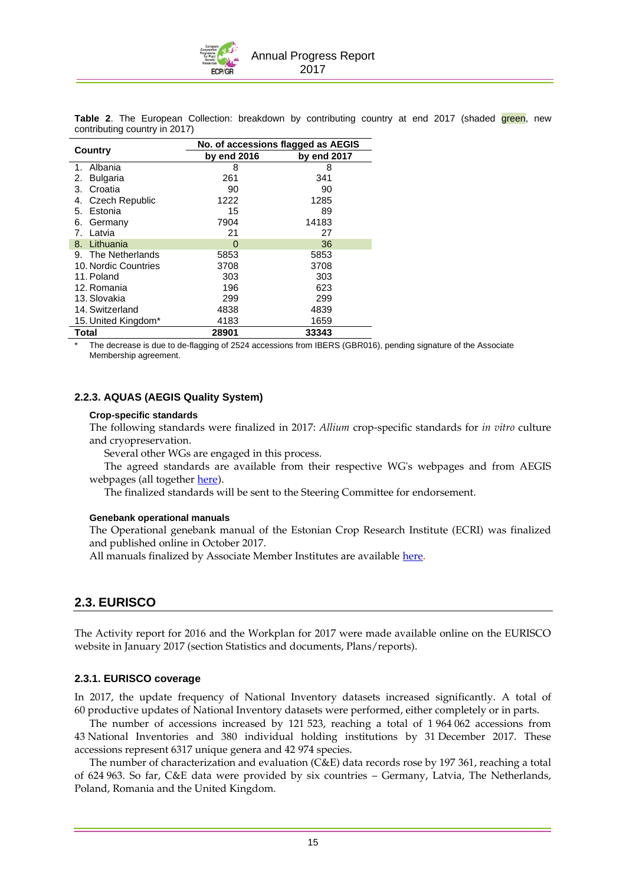Annual Progress Report 2017

**Table 2.** The European Collection: breakdown by contributing country at end 2017 (shaded green, new contributing country in 2017)

| Country                     | No. of accessions flagged as AEGIS |             |  |  |
|-----------------------------|------------------------------------|-------------|--|--|
|                             | by end 2016                        | by end 2017 |  |  |
| Albania<br>1.               | 8                                  | 8           |  |  |
| <b>Bulgaria</b><br>2.       | 261                                | 341         |  |  |
| Croatia<br>3.               | 90                                 | 90          |  |  |
| <b>Czech Republic</b><br>4. | 1222                               | 1285        |  |  |
| Estonia<br>5.               | 15                                 | 89          |  |  |
| Germany<br>6.               | 7904                               | 14183       |  |  |
| 7. Latvia                   | 21                                 | 27          |  |  |
| 8. Lithuania                | $\Omega$                           | 36          |  |  |
| 9. The Netherlands          | 5853                               | 5853        |  |  |
| 10. Nordic Countries        | 3708                               | 3708        |  |  |
| 11. Poland                  | 303                                | 303         |  |  |
| 12. Romania                 | 196                                | 623         |  |  |
| 13. Slovakia                | 299                                | 299         |  |  |
| 14. Switzerland             | 4838                               | 4839        |  |  |
| 15. United Kingdom*         | 4183                               | 1659        |  |  |
| <b>Total</b>                | 28901                              | 33343       |  |  |

The decrease is due to de-flagging of 2524 accessions from IBERS (GBR016), pending signature of the Associate Membership agreement.

#### **2.2.3. AQUAS (AEGIS Quality System)**

#### **Crop-specific standards**

The following standards were finalized in 2017: *Allium* crop-specific standards for *in vitro* culture and cryopreservation.

Several other WGs are engaged in this process.

The agreed standards are available from their respective WG's webpages and from AEGIS webpages (all together [here\)](http://www.ecpgr.cgiar.org/aegis/aquas-quality-management-system-for-aegis/genebank-standards/agreed-standards/).

The finalized standards will be sent to the Steering Committee for endorsement.

#### **Genebank operational manuals**

The Operational genebank manual of the Estonian Crop Research Institute (ECRI) was finalized and published online in October 2017.

All manuals finalized by Associate Member Institutes are available [here.](http://www.ecpgr.cgiar.org/aegis/aquas-quality-management-system-for-aegis/genebank-manuals/)

### **2.3. EURISCO**

The Activity report for 2016 and the Workplan for 2017 were made available online on the EURISCO website in January 2017 (section Statistics and documents, Plans/reports).

#### **2.3.1. EURISCO coverage**

In 2017, the update frequency of National Inventory datasets increased significantly. A total of 60 productive updates of National Inventory datasets were performed, either completely or in parts.

The number of accessions increased by 121 523, reaching a total of 1 964 062 accessions from 43 National Inventories and 380 individual holding institutions by 31 December 2017. These accessions represent 6317 unique genera and 42 974 species.

The number of characterization and evaluation (C&E) data records rose by 197 361, reaching a total of 624 963. So far, C&E data were provided by six countries – Germany, Latvia, The Netherlands, Poland, Romania and the United Kingdom.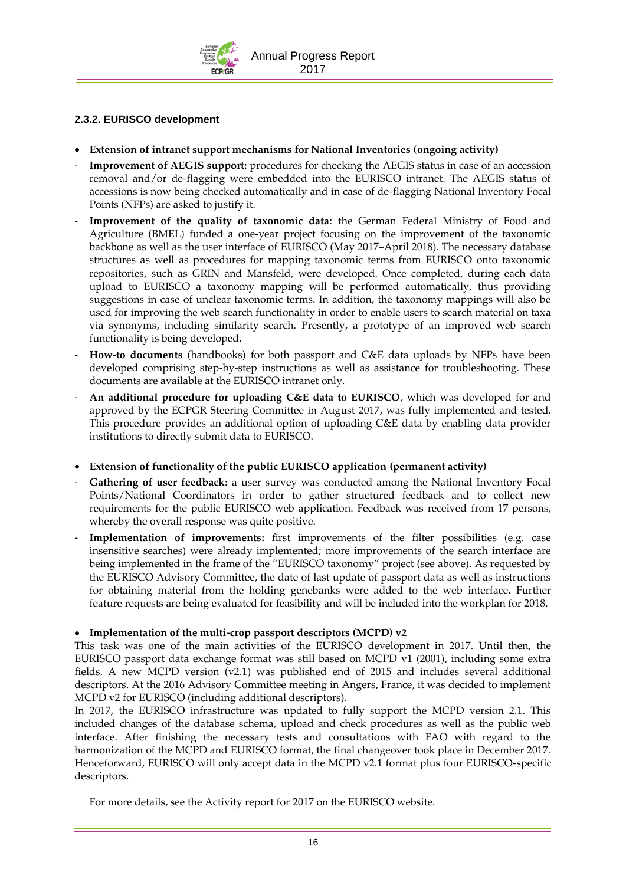

### **2.3.2. EURISCO development**

- **Extension of intranet support mechanisms for National Inventories (ongoing activity)**
- **Improvement of AEGIS support:** procedures for checking the AEGIS status in case of an accession removal and/or de-flagging were embedded into the EURISCO intranet. The AEGIS status of accessions is now being checked automatically and in case of de-flagging National Inventory Focal Points (NFPs) are asked to justify it.
- <span id="page-17-0"></span>Improvement of the quality of taxonomic data: the German Federal Ministry of Food and Agriculture (BMEL) funded a one-year project focusing on the improvement of the taxonomic backbone as well as the user interface of EURISCO (May 2017–April 2018). The necessary database structures as well as procedures for mapping taxonomic terms from EURISCO onto taxonomic repositories, such as GRIN and Mansfeld, were developed. Once completed, during each data upload to EURISCO a taxonomy mapping will be performed automatically, thus providing suggestions in case of unclear taxonomic terms. In addition, the taxonomy mappings will also be used for improving the web search functionality in order to enable users to search material on taxa via synonyms, including similarity search. Presently, a prototype of an improved web search functionality is being developed.
- **How-to documents** (handbooks) for both passport and C&E data uploads by NFPs have been developed comprising step-by-step instructions as well as assistance for troubleshooting. These documents are available at the EURISCO intranet only.
- **An additional procedure for uploading C&E data to EURISCO**, which was developed for and approved by the ECPGR Steering Committee in August 2017, was fully implemented and tested. This procedure provides an additional option of uploading C&E data by enabling data provider institutions to directly submit data to EURISCO.
- **Extension of functionality of the public EURISCO application (permanent activity)**
- Gathering of user feedback: a user survey was conducted among the National Inventory Focal Points/National Coordinators in order to gather structured feedback and to collect new requirements for the public EURISCO web application. Feedback was received from 17 persons, whereby the overall response was quite positive.
- Implementation of improvements: first improvements of the filter possibilities (e.g. case insensitive searches) were already implemented; more improvements of the search interface are being implemented in the frame of the "EURISCO taxonomy" project (see above). As requested by the EURISCO Advisory Committee, the date of last update of passport data as well as instructions for obtaining material from the holding genebanks were added to the web interface. Further feature requests are being evaluated for feasibility and will be included into the workplan for 2018.

### **Implementation of the multi-crop passport descriptors (MCPD) v2**

This task was one of the main activities of the EURISCO development in 2017. Until then, the EURISCO passport data exchange format was still based on MCPD v1 (2001), including some extra fields. A new MCPD version (v2.1) was published end of 2015 and includes several additional descriptors. At the 2016 Advisory Committee meeting in Angers, France, it was decided to implement MCPD v2 for EURISCO (including additional descriptors).

In 2017, the EURISCO infrastructure was updated to fully support the MCPD version 2.1. This included changes of the database schema, upload and check procedures as well as the public web interface. After finishing the necessary tests and consultations with FAO with regard to the harmonization of the MCPD and EURISCO format, the final changeover took place in December 2017. Henceforward, EURISCO will only accept data in the MCPD v2.1 format plus four EURISCO-specific descriptors.

For more details, see the Activity report for 2017 on the EURISCO website.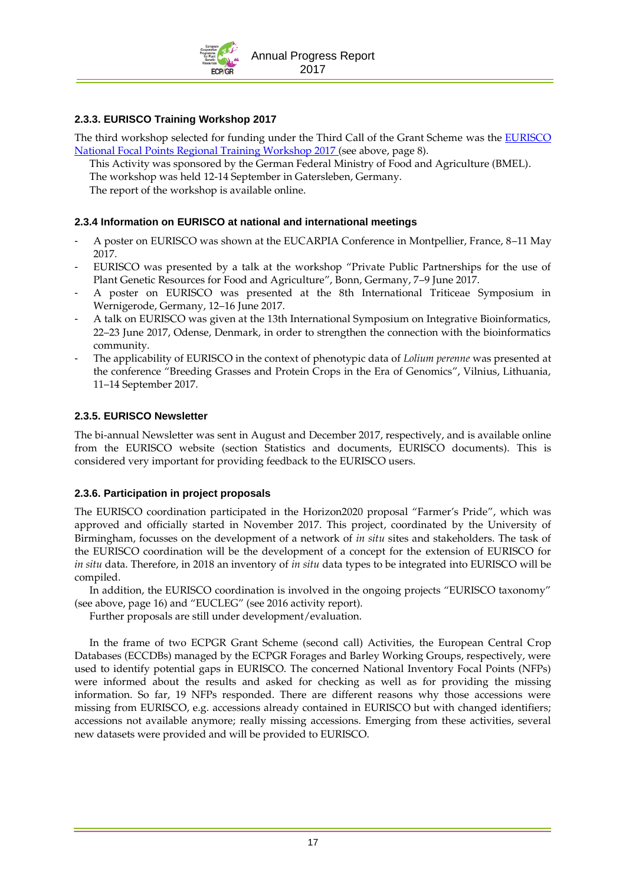

### **2.3.3. EURISCO Training Workshop 2017**

The third workshop selected for funding under the Third Call of the Grant Scheme was the [EURISCO](http://www.ecpgr.cgiar.org/working-groups/documentation-information/eurisco-national-focal-points-training-workshop-2017/)  [National Focal Points Regional Training Workshop 2017](http://www.ecpgr.cgiar.org/working-groups/documentation-information/eurisco-national-focal-points-training-workshop-2017/) (see above, page [8\)](#page-9-0).

This Activity was sponsored by the German Federal Ministry of Food and Agriculture (BMEL).

The workshop was held 12-14 September in Gatersleben, Germany.

The report of the workshop is available online.

### **2.3.4 Information on EURISCO at national and international meetings**

- A poster on EURISCO was shown at the EUCARPIA Conference in Montpellier, France, 8–11 May 2017.
- EURISCO was presented by a talk at the workshop "Private Public Partnerships for the use of Plant Genetic Resources for Food and Agriculture", Bonn, Germany, 7–9 June 2017.
- A poster on EURISCO was presented at the 8th International Triticeae Symposium in Wernigerode, Germany, 12–16 June 2017.
- A talk on EURISCO was given at the 13th International Symposium on Integrative Bioinformatics, 22–23 June 2017, Odense, Denmark, in order to strengthen the connection with the bioinformatics community.
- The applicability of EURISCO in the context of phenotypic data of *Lolium perenne* was presented at the conference "Breeding Grasses and Protein Crops in the Era of Genomics", Vilnius, Lithuania, 11–14 September 2017.

### **2.3.5. EURISCO Newsletter**

The bi-annual Newsletter was sent in August and December 2017, respectively, and is available online from the EURISCO website (section Statistics and documents, EURISCO documents). This is considered very important for providing feedback to the EURISCO users.

### **2.3.6. Participation in project proposals**

The EURISCO coordination participated in the Horizon2020 proposal "Farmer's Pride", which was approved and officially started in November 2017. This project, coordinated by the University of Birmingham, focusses on the development of a network of *in situ* sites and stakeholders. The task of the EURISCO coordination will be the development of a concept for the extension of EURISCO for *in situ* data. Therefore, in 2018 an inventory of *in situ* data types to be integrated into EURISCO will be compiled.

In addition, the EURISCO coordination is involved in the ongoing projects "EURISCO taxonomy" (see above, page [16\)](#page-17-0) and "EUCLEG" (see 2016 activity report).

Further proposals are still under development/evaluation.

In the frame of two ECPGR Grant Scheme (second call) Activities, the European Central Crop Databases (ECCDBs) managed by the ECPGR Forages and Barley Working Groups, respectively, were used to identify potential gaps in EURISCO. The concerned National Inventory Focal Points (NFPs) were informed about the results and asked for checking as well as for providing the missing information. So far, 19 NFPs responded. There are different reasons why those accessions were missing from EURISCO, e.g. accessions already contained in EURISCO but with changed identifiers; accessions not available anymore; really missing accessions. Emerging from these activities, several new datasets were provided and will be provided to EURISCO.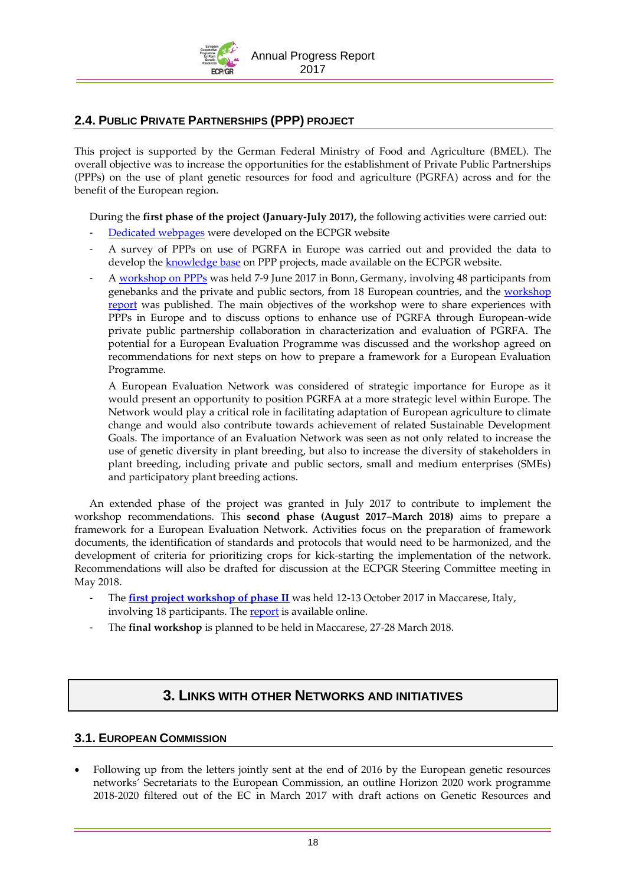Annual Progress Report 2017

### **2.4. PUBLIC PRIVATE PARTNERSHIPS (PPP) PROJECT**

This project is supported by the German Federal Ministry of Food and Agriculture (BMEL). The overall objective was to increase the opportunities for the establishment of Private Public Partnerships (PPPs) on the use of plant genetic resources for food and agriculture (PGRFA) across and for the benefit of the European region.

During the **first phase of the project (January-July 2017),** the following activities were carried out:

- [Dedicated webpages](http://www.ecpgr.cgiar.org/resources/ppp-private-public-partnerships/) were developed on the ECPGR website
- A survey of PPPs on use of PGRFA in Europe was carried out and provided the data to develop th[e knowledge base](http://www.ecpgr.cgiar.org/resources/ppp-private-public-partnerships/ppp-knowledge-base/) on PPP projects, made available on the ECPGR website.
- A [workshop on PPPs](http://www.ecpgr.cgiar.org/resources/ppp-private-public-partnerships/ppp-workshop/) was held 7-9 June 2017 in Bonn, Germany, involving 48 participants from genebanks and the private and public sectors, from 18 European countries, and the [workshop](http://www.ecpgr.cgiar.org/fileadmin/templates/ecpgr.org/upload/PPP_WORKSHOP/REPORT/PPP_workshop_report_FINAL_28072017.pdf)  [report](http://www.ecpgr.cgiar.org/fileadmin/templates/ecpgr.org/upload/PPP_WORKSHOP/REPORT/PPP_workshop_report_FINAL_28072017.pdf) was published. The main objectives of the workshop were to share experiences with PPPs in Europe and to discuss options to enhance use of PGRFA through European-wide private public partnership collaboration in characterization and evaluation of PGRFA. The potential for a European Evaluation Programme was discussed and the workshop agreed on recommendations for next steps on how to prepare a framework for a European Evaluation Programme.

A European Evaluation Network was considered of strategic importance for Europe as it would present an opportunity to position PGRFA at a more strategic level within Europe. The Network would play a critical role in facilitating adaptation of European agriculture to climate change and would also contribute towards achievement of related Sustainable Development Goals. The importance of an Evaluation Network was seen as not only related to increase the use of genetic diversity in plant breeding, but also to increase the diversity of stakeholders in plant breeding, including private and public sectors, small and medium enterprises (SMEs) and participatory plant breeding actions.

<span id="page-19-0"></span>An extended phase of the project was granted in July 2017 to contribute to implement the workshop recommendations. This **second phase (August 2017–March 2018)** aims to prepare a framework for a European Evaluation Network. Activities focus on the preparation of framework documents, the identification of standards and protocols that would need to be harmonized, and the development of criteria for prioritizing crops for kick-starting the implementation of the network. Recommendations will also be drafted for discussion at the ECPGR Steering Committee meeting in May 2018.

- The **[first project workshop of phase II](http://www.ecpgr.cgiar.org/resources/ppp-private-public-partnerships/ppp-workshop-phase-ii/)** was held 12-13 October 2017 in Maccarese, Italy, involving 18 participants. The [report](http://www.ecpgr.cgiar.org/fileadmin/bioversity/publications/pdfs/PPP_project_first_workshop_phase_II_report_final_24_11_2017.pdf) is available online.
- The **final workshop** is planned to be held in Maccarese, 27-28 March 2018.

# **3. LINKS WITH OTHER NETWORKS AND INITIATIVES**

### **3.1. EUROPEAN COMMISSION**

<span id="page-19-1"></span> Following up from the letters jointly sent at the end of 2016 by the European genetic resources networks' Secretariats to the European Commission, an outline Horizon 2020 work programme 2018-2020 filtered out of the EC in March 2017 with draft actions on Genetic Resources and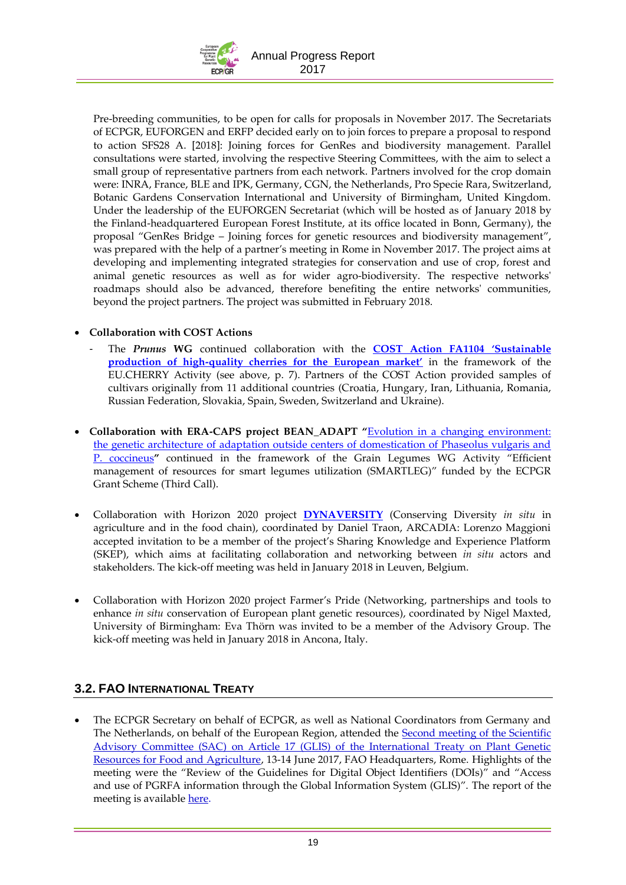

Pre-breeding communities, to be open for calls for proposals in November 2017. The Secretariats of ECPGR, EUFORGEN and ERFP decided early on to join forces to prepare a proposal to respond to action SFS28 A. [2018]: Joining forces for GenRes and biodiversity management. Parallel consultations were started, involving the respective Steering Committees, with the aim to select a small group of representative partners from each network. Partners involved for the crop domain were: INRA, France, BLE and IPK, Germany, CGN, the Netherlands, Pro Specie Rara, Switzerland, Botanic Gardens Conservation International and University of Birmingham, United Kingdom. Under the leadership of the EUFORGEN Secretariat (which will be hosted as of January 2018 by the Finland-headquartered European Forest Institute, at its office located in Bonn, Germany), the proposal "GenRes Bridge – Joining forces for genetic resources and biodiversity management", was prepared with the help of a partner's meeting in Rome in November 2017. The project aims at developing and implementing integrated strategies for conservation and use of crop, forest and animal genetic resources as well as for wider agro-biodiversity. The respective networks' roadmaps should also be advanced, therefore benefiting the entire networks' communities, beyond the project partners. The project was submitted in February 2018.

### **Collaboration with COST Actions**

- The *Prunus* **WG** continued collaboration with the **[COST Action FA1104 'Sustainable](https://www.bordeaux.inra.fr/cherry)  production of high-[quality cherries for the European market'](https://www.bordeaux.inra.fr/cherry)** in the framework of the EU.CHERRY Activity (see above, p. [7\)](#page-8-0). Partners of the COST Action provided samples of cultivars originally from 11 additional countries (Croatia, Hungary, Iran, Lithuania, Romania, Russian Federation, Slovakia, Spain, Sweden, Switzerland and Ukraine).
- **Collaboration with ERA-CAPS project BEAN\_ADAPT "**[Evolution in a changing environment:](http://www.eracaps.org/joint-calls/era-caps-funded-projects/era-caps-second-call-2014/evolution-changing-environment)  [the genetic architecture of adaptation outside centers of domestication of Phaseolus vulgaris and](http://www.eracaps.org/joint-calls/era-caps-funded-projects/era-caps-second-call-2014/evolution-changing-environment)  [P. coccineus](http://www.eracaps.org/joint-calls/era-caps-funded-projects/era-caps-second-call-2014/evolution-changing-environment)**"** continued in the framework of the Grain Legumes WG Activity "Efficient management of resources for smart legumes utilization (SMARTLEG)" funded by the ECPGR Grant Scheme (Third Call).
- Collaboration with Horizon 2020 project **[DYNAVERSITY](http://dynaversity.eu/)** (Conserving Diversity *in situ* in agriculture and in the food chain), coordinated by Daniel Traon, ARCADIA: Lorenzo Maggioni accepted invitation to be a member of the project's Sharing Knowledge and Experience Platform (SKEP), which aims at facilitating collaboration and networking between *in situ* actors and stakeholders. The kick-off meeting was held in January 2018 in Leuven, Belgium.
- Collaboration with Horizon 2020 project Farmer's Pride (Networking, partnerships and tools to enhance *in situ* conservation of European plant genetic resources), coordinated by Nigel Maxted, University of Birmingham: Eva Thörn was invited to be a member of the Advisory Group. The kick-off meeting was held in January 2018 in Ancona, Italy.

### **3.2. FAO INTERNATIONAL TREATY**

 The ECPGR Secretary on behalf of ECPGR, as well as National Coordinators from Germany and The Netherlands, on behalf of the European Region, attended the [Second meeting of the Scientific](http://www.fao.org/plant-treaty/meetings/meetings-detail/en/c/853660/)  [Advisory Committee \(SAC\) on Article 17 \(GLIS\) of the International Treaty on Plant Genetic](http://www.fao.org/plant-treaty/meetings/meetings-detail/en/c/853660/)  [Resources for Food and Agriculture,](http://www.fao.org/plant-treaty/meetings/meetings-detail/en/c/853660/) 13-14 June 2017, FAO Headquarters, Rome. Highlights of the meeting were the "Review of the Guidelines for Digital Object Identifiers (DOIs)" and "Access and use of PGRFA information through the Global Information System (GLIS)". The report of the meeting is available [here.](http://www.fao.org/3/a-bs761e.pdf)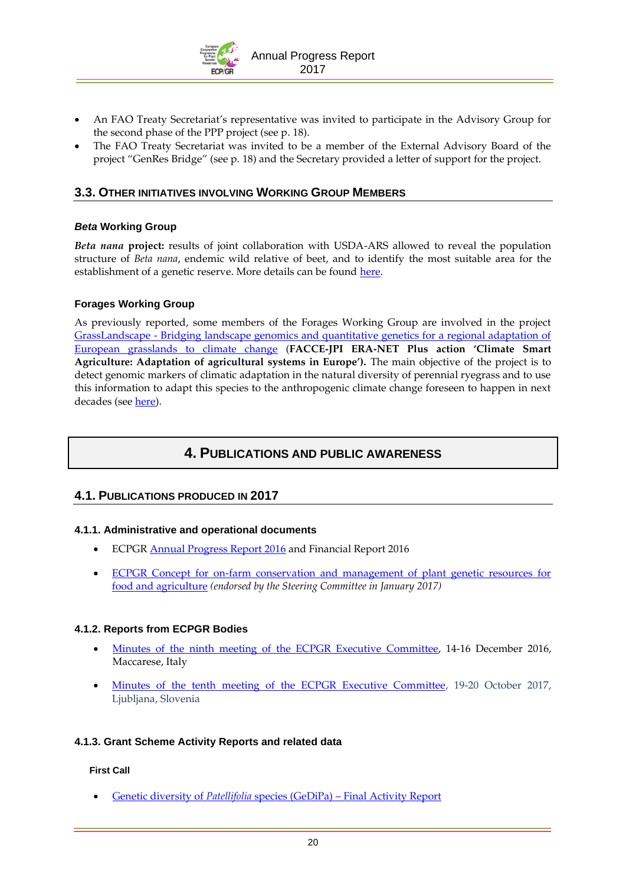

- An FAO Treaty Secretariat's representative was invited to participate in the Advisory Group for the second phase of the PPP project (see p. [18\)](#page-19-0).
- The FAO Treaty Secretariat was invited to be a member of the External Advisory Board of the project "GenRes Bridge" (see p. [18\)](#page-19-1) and the Secretary provided a letter of support for the project.

### **3.3. OTHER INITIATIVES INVOLVING WORKING GROUP MEMBERS**

### *Beta* **Working Group**

*Beta nana* **project:** results of joint collaboration with USDA-ARS allowed to reveal the population structure of *Beta nana*, endemic wild relative of beet, and to identify the most suitable area for the establishment of a genetic reserve. More details can be found [here.](http://www.ecpgr.cgiar.org/working-groups/beta/)

### **Forages Working Group**

As previously reported, some members of the Forages Working Group are involved in the project GrassLandscape - [Bridging landscape genomics and quantitative genetics for a regional adaptation of](https://www.faccejpi.com/Research-Themes-and-Achievements/Climate-Change-Adaptation/ERA-NET-Plus-on-Climate-Smart-Agriculture/Grasslandscape)  [European grasslands to climate change](https://www.faccejpi.com/Research-Themes-and-Achievements/Climate-Change-Adaptation/ERA-NET-Plus-on-Climate-Smart-Agriculture/Grasslandscape) (**FACCE-JPI ERA-NET Plus action 'Climate Smart Agriculture: Adaptation of agricultural systems in Europe').** The main objective of the project is to detect genomic markers of climatic adaptation in the natural diversity of perennial ryegrass and to use this information to adapt this species to the anthropogenic climate change foreseen to happen in next decades (se[e here\)](http://www.ecpgr.cgiar.org/working-groups/forages/).

### **4. PUBLICATIONS AND PUBLIC AWARENESS**

### **4.1. PUBLICATIONS PRODUCED IN 2017**

### **4.1.1. Administrative and operational documents**

- ECPG[R Annual Progress Report 2016](http://www.ecpgr.cgiar.org/fileadmin/templates/ecpgr.org/upload/ANNUAL_REPORTS/AR2016__FINAL_20_04_2017_.pdf) and Financial Report 2016
- ECPGR Concept for on-farm conservation and management of plant genetic resources for [food and agriculture](http://www.ecpgr.cgiar.org/resources/ecpgr-publications/publication/ecpgr-concept-for-on-farm-conservation-and-management-of-plant-genetic-resources-for-food-and-agricu/) *(endorsed by the Steering Committee in January 2017)*

### **4.1.2. Reports from ECPGR Bodies**

- [Minutes of the ninth meeting of the ECPGR Executive Committee,](http://www.ecpgr.cgiar.org/resources/ecpgr-publications/publication/minutes-of-the-ninth-meeting-of-the-ecpgr-executive-committee-2017/) 14-16 December 2016, Maccarese, Italy
- [Minutes of the tenth meeting of the ECPGR Executive Committee,](http://www.ecpgr.cgiar.org/resources/ecpgr-publications/publication/minutes-of-the-tenth-meeting-of-the-ecpgr-executive-committee-2017/) 19-20 October 2017, Ljubljana, Slovenia

### **4.1.3. Grant Scheme Activity Reports and related data**

#### **First Call**

Genetic diversity of *Patellifolia* species (GeDiPa) – [Final Activity Report](http://www.ecpgr.cgiar.org/fileadmin/templates/ecpgr.org/upload/WG_UPLOADS_PHASE_IX/BETA/GeDiPa_Final_Activity_report__20072017.pdf)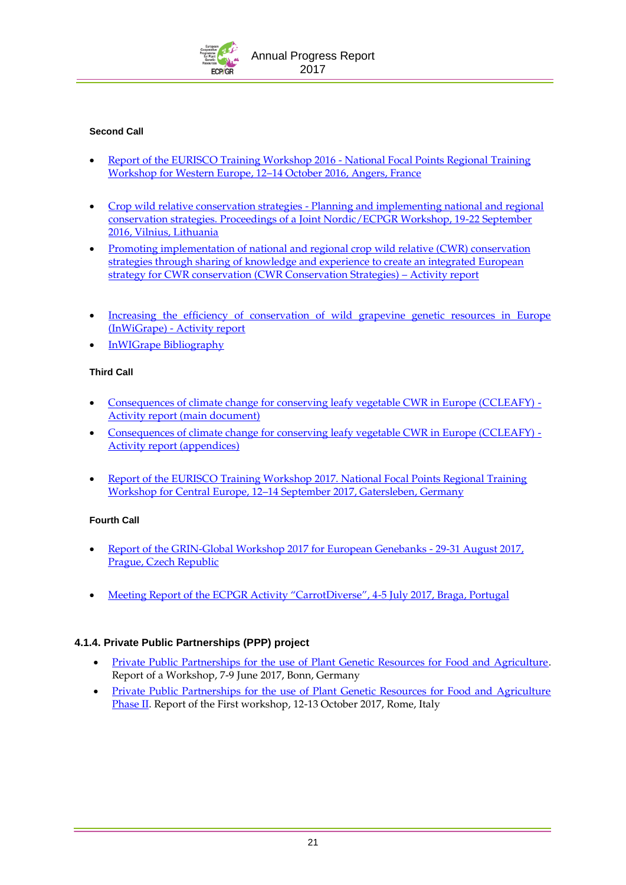

### **Second Call**

- [Report of the EURISCO Training Workshop 2016 -](http://www.ecpgr.cgiar.org/fileadmin/templates/ecpgr.org/upload/WG_UPLOADS_PHASE_IX/EURISCO_TRAINING2016/Eurisco_workshop_2016_final_Web.pdf) National Focal Points Regional Training [Workshop for Western Europe, 12](http://www.ecpgr.cgiar.org/fileadmin/templates/ecpgr.org/upload/WG_UPLOADS_PHASE_IX/EURISCO_TRAINING2016/Eurisco_workshop_2016_final_Web.pdf)–14 October 2016, Angers, France
- Crop wild relative conservation strategies [Planning and implementing national and regional](http://www.ecpgr.cgiar.org/fileadmin/bioversity/publications/pdfs/CWR_Workshop_2016_Proceedings_Final_web_24_04_2017.pdf)  [conservation strategies. Proceedings of a Joint Nordic/ECPGR Workshop, 19-22 September](http://www.ecpgr.cgiar.org/fileadmin/bioversity/publications/pdfs/CWR_Workshop_2016_Proceedings_Final_web_24_04_2017.pdf)  [2016, Vilnius, Lithuania](http://www.ecpgr.cgiar.org/fileadmin/bioversity/publications/pdfs/CWR_Workshop_2016_Proceedings_Final_web_24_04_2017.pdf)
- [Promoting implementation of national and regional crop wild relative \(CWR\) conservation](http://www.ecpgr.cgiar.org/fileadmin/templates/ecpgr.org/upload/WG_UPLOADS_PHASE_IX/WILD_SPECIES/CWR/Final_Activity_report__-_CWR_Conservation_strategies_FINAL_web_27_04_2017.pdf)  [strategies through sharing of knowledge and experience to create an integrated European](http://www.ecpgr.cgiar.org/fileadmin/templates/ecpgr.org/upload/WG_UPLOADS_PHASE_IX/WILD_SPECIES/CWR/Final_Activity_report__-_CWR_Conservation_strategies_FINAL_web_27_04_2017.pdf)  [strategy for CWR conservation \(CWR Conservation Strategies\)](http://www.ecpgr.cgiar.org/fileadmin/templates/ecpgr.org/upload/WG_UPLOADS_PHASE_IX/WILD_SPECIES/CWR/Final_Activity_report__-_CWR_Conservation_strategies_FINAL_web_27_04_2017.pdf) – Activity report
- [Increasing the efficiency of conservation of wild grapevine genetic resources in Europe](http://www.ecpgr.cgiar.org/resources/ecpgr-publications/publication/increasing-the-efficiency-of-conservation-of-wild-grapevine-genetic-resources-in-europe-inwigrape/)  (InWiGrape) - [Activity report](http://www.ecpgr.cgiar.org/resources/ecpgr-publications/publication/increasing-the-efficiency-of-conservation-of-wild-grapevine-genetic-resources-in-europe-inwigrape/)
- [InWIGrape Bibliography](http://www.ecpgr.cgiar.org/fileadmin/templates/ecpgr.org/upload/WG_UPLOADS_PHASE_IX/VITIS/InWiGrape/InWiGrape_Bibliography_Final_08_06_2017.xls)

### **Third Call**

- [Consequences of climate change for conserving leafy vegetable CWR in Europe \(CCLEAFY\) -](http://www.ecpgr.cgiar.org/fileadmin/templates/ecpgr.org/upload/WG_UPLOADS_PHASE_IX/LEAFY_VEGETABLES/Activity_Report_CCLEAFY_-__final_04_10_2017.pdf) [Activity report \(main document\)](http://www.ecpgr.cgiar.org/fileadmin/templates/ecpgr.org/upload/WG_UPLOADS_PHASE_IX/LEAFY_VEGETABLES/Activity_Report_CCLEAFY_-__final_04_10_2017.pdf)
- [Consequences of climate change for conserving leafy vegetable CWR in Europe \(CCLEAFY\) -](http://www.ecpgr.cgiar.org/fileadmin/templates/ecpgr.org/upload/WG_UPLOADS_PHASE_IX/LEAFY_VEGETABLES/Activity_Report_CCLEAFY_-_Appendices_final_04_10_2017.pdf) [Activity report \(appendices\)](http://www.ecpgr.cgiar.org/fileadmin/templates/ecpgr.org/upload/WG_UPLOADS_PHASE_IX/LEAFY_VEGETABLES/Activity_Report_CCLEAFY_-_Appendices_final_04_10_2017.pdf)
- [Report of the EURISCO Training Workshop 2017. National Focal Points Regional Training](http://www.ecpgr.cgiar.org/fileadmin/bioversity/publications/pdfs/EURISCO_workshop_2017_final_web.pdf)  Workshop for Central Europe, 12–[14 September 2017, Gatersleben, Germany](http://www.ecpgr.cgiar.org/fileadmin/bioversity/publications/pdfs/EURISCO_workshop_2017_final_web.pdf)

### **Fourth Call**

- [Report of the GRIN-Global Workshop 2017 for European Genebanks -](http://www.ecpgr.cgiar.org/resources/ecpgr-publications/publication/report-of-the-grin-global-workshop-2017-for-european-genebanks-29-31-august-2017-prague-czech-re/) 29-31 August 2017, [Prague, Czech Republic](http://www.ecpgr.cgiar.org/resources/ecpgr-publications/publication/report-of-the-grin-global-workshop-2017-for-european-genebanks-29-31-august-2017-prague-czech-re/)
- [Meeting Report of the ECPGR Activity "CarrotDiverse", 4](http://www.ecpgr.cgiar.org/fileadmin/templates/ecpgr.org/upload/WG_UPLOADS_PHASE_IX/UMBELLIFERS/CarrotDiverse_Meeting_Notes_Braga_2017_final.pdf)-5 July 2017, Braga, Portugal

### **4.1.4. Private Public Partnerships (PPP) project**

- [Private Public Partnerships for the use of Plant Genetic Resources for Food and Agriculture.](http://www.ecpgr.cgiar.org/resources/ecpgr-publications/publication/private-public-partnerships-for-the-use-of-plant-genetic-resources-for-food-and-agriculture-2017/) Report of a Workshop, 7-9 June 2017, Bonn, Germany
- [Private Public Partnerships for the use of Plant Genetic Resources for Food and Agriculture](http://www.ecpgr.cgiar.org/resources/ppp-private-public-partnerships/ppp-workshop-phase-ii/)  [Phase II.](http://www.ecpgr.cgiar.org/resources/ppp-private-public-partnerships/ppp-workshop-phase-ii/) Report of the First workshop, 12-13 October 2017, Rome, Italy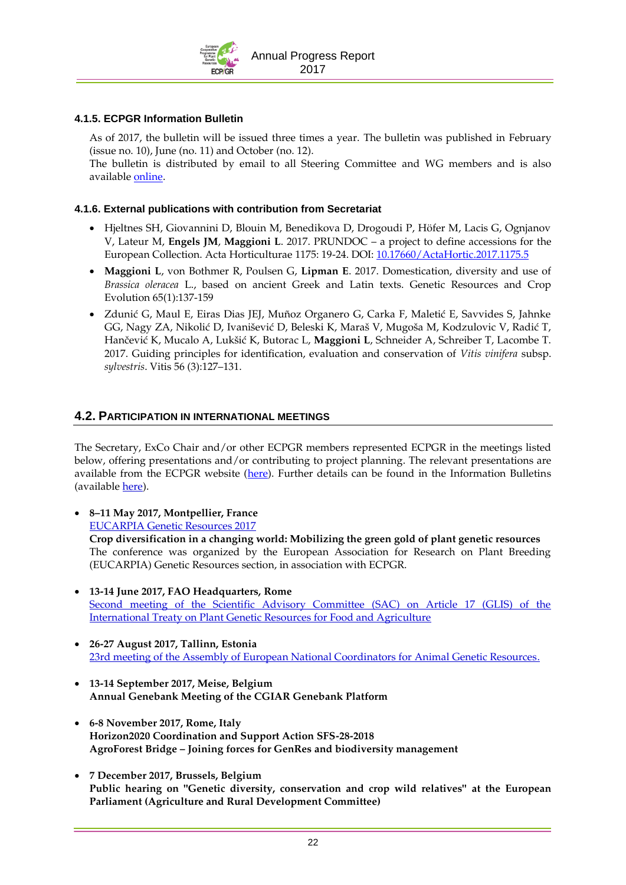

### **4.1.5. ECPGR Information Bulletin**

As of 2017, the bulletin will be issued three times a year. The bulletin was published in February (issue no. 10), June (no. 11) and October (no. 12).

The bulletin is distributed by email to all Steering Committee and WG members and is also available [online.](http://www.ecpgr.cgiar.org/resources/ecpgr-information-bulletin/)

### **4.1.6. External publications with contribution from Secretariat**

- Hjeltnes SH, Giovannini D, Blouin M, Benedikova D, Drogoudi P, Höfer M, Lacis G, Ognjanov V, Lateur M, **Engels JM**, **Maggioni L**. 2017. PRUNDOC – a project to define accessions for the European Collection. Acta Horticulturae 1175: 19-24. DOI: [10.17660/ActaHortic.2017.1175.5](https://doi.org/10.17660/ActaHortic.2017.1175.5)
- **Maggioni L**, von Bothmer R, Poulsen G, **Lipman E**. 2017. Domestication, diversity and use of *Brassica oleracea* L., based on ancient Greek and Latin texts. Genetic Resources and Crop Evolution 65(1):137-159
- Zdunić G, Maul E, Eiras Dias JEJ, Muñoz Organero G, Carka F, Maletić E, Savvides S, Jahnke GG, Nagy ZA, Nikolić D, Ivanišević D, Beleski K, Maraš V, Mugoša M, Kodzulovic V, Radić T, Hančević K, Mucalo A, Lukšić K, Butorac L, **Maggioni L**, Schneider A, Schreiber T, Lacombe T. 2017. Guiding principles for identification, evaluation and conservation of *Vitis vinifera* subsp. *sylvestris*. Vitis 56 (3):127–131.

### **4.2. PARTICIPATION IN INTERNATIONAL MEETINGS**

The Secretary, ExCo Chair and/or other ECPGR members represented ECPGR in the meetings listed below, offering presentations and/or contributing to project planning. The relevant presentations are available from the ECPGR website [\(here\)](http://www.ecpgr.cgiar.org/resources/presentations/). Further details can be found in the Information Bulletins (available **here**).

 **8–11 May 2017, Montpellier, France** [EUCARPIA Genetic Resources 2017](https://symposium.inra.fr/eucarpiageneticresources2017/)

**Crop diversification in a changing world: Mobilizing the green gold of plant genetic resources** The conference was organized by the European Association for Research on Plant Breeding (EUCARPIA) Genetic Resources section, in association with ECPGR.

- **13-14 June 2017, FAO Headquarters, Rome** [Second meeting of the Scientific Advisory Committee \(SAC\) on Article 17 \(GLIS\) of the](http://www.fao.org/plant-treaty/meetings/meetings-detail/en/c/853660/)  [International Treaty on Plant Genetic Resources for Food and Agriculture](http://www.fao.org/plant-treaty/meetings/meetings-detail/en/c/853660/)
- **26-27 August 2017, Tallinn, Estonia** [23rd meeting of the Assembly of European National Coordinators for Animal Genetic Resources.](https://www.rfp-europe.org/assembly/list-of-meetings/tallinn-2017/assembly-meeting/)
- **13-14 September 2017, Meise, Belgium Annual Genebank Meeting of the CGIAR Genebank Platform**
- **6-8 November 2017, Rome, Italy Horizon2020 Coordination and Support Action SFS-28-2018 AgroForest Bridge – Joining forces for GenRes and biodiversity management**
- **7 December 2017, Brussels, Belgium Public hearing on "Genetic diversity, conservation and crop wild relatives" at the European Parliament (Agriculture and Rural Development Committee)**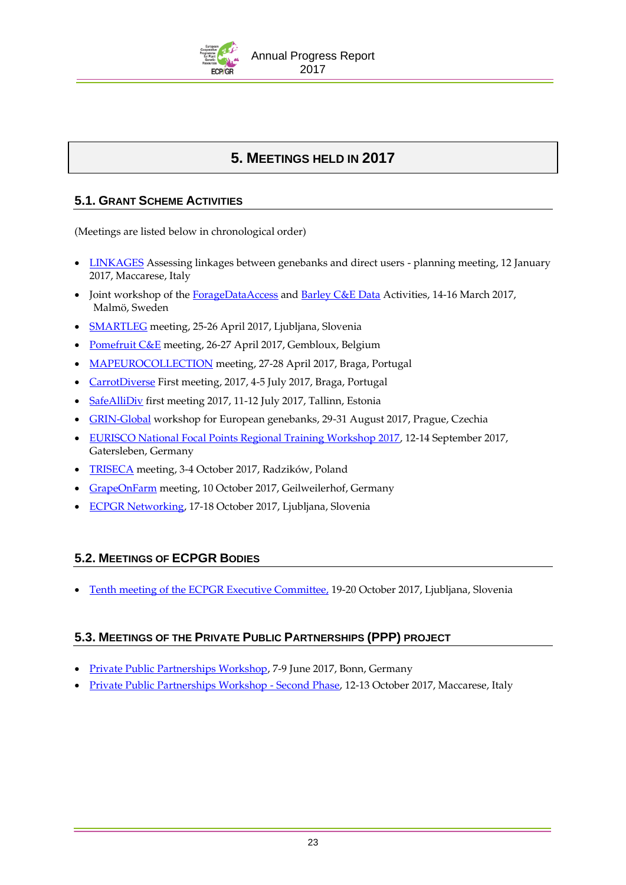

# **5. MEETINGS HELD IN 2017**

# **5.1. GRANT SCHEME ACTIVITIES**

(Meetings are listed below in chronological order)

- [LINKAGES](http://www.ecpgr.cgiar.org/working-groups/on-farm-conservation/linkages/) Assessing linkages between genebanks and direct users planning meeting, 12 January 2017, Maccarese, Italy
- Joint workshop of the [ForageDataAccess](http://www.ecpgr.cgiar.org/working-groups/forages/foragedataaccess/) an[d Barley C&E Data](http://www.ecpgr.cgiar.org/working-groups/barley/barley-ce-data/) Activities, 14-16 March 2017, Malmö, Sweden
- [SMARTLEG](http://www.ecpgr.cgiar.org/working-groups/grain-legumes/smartleg/) meeting, 25-26 April 2017, Ljubljana, Slovenia
- [Pomefruit C&E](http://www.ecpgr.cgiar.org/working-groups/maluspyrus/) meeting, 26-27 April 2017, Gembloux, Belgium
- [MAPEUROCOLLECTION](http://www.ecpgr.cgiar.org/working-groups/medicinal-and-aromatic-plants/map-eurocollection/) meeting, 27-28 April 2017, Braga, Portugal
- [CarrotDiverse](http://www.ecpgr.cgiar.org/working-groups/umbellifer-crops/carrotdiverse/) First meeting, 2017, 4-5 July 2017, Braga, Portugal
- [SafeAlliDiv](http://www.ecpgr.cgiar.org/working-groups/allium/safeallidiv/) first meeting 2017, 11-12 July 2017, Tallinn, Estonia
- [GRIN-Global](http://www.ecpgr.cgiar.org/working-groups/documentation-information/grin-global/) workshop for European genebanks, 29-31 August 2017, Prague, Czechia
- [EURISCO National Focal Points Regional Training Workshop 2017,](http://www.ecpgr.cgiar.org/working-groups/documentation-information/eurisco-national-focal-points-training-workshop-2017/) 12-14 September 2017, Gatersleben, Germany
- [TRISECA](http://www.ecpgr.cgiar.org/working-groups/wheat/triseca/) meeting, 3-4 October 2017, Radzików, Poland
- [GrapeOnFarm](http://www.ecpgr.cgiar.org/working-groups/vitis/grapeonfarm/) meeting, 10 October 2017, Geilweilerhof, Germany
- [ECPGR Networking,](http://www.ecpgr.cgiar.org/working-groups/common-working-group-activities/ecpgr-networking/) 17-18 October 2017, Ljubljana, Slovenia

# **5.2. MEETINGS OF ECPGR BODIES**

• [Tenth meeting of the ECPGR Executive Committee,](http://www.ecpgr.cgiar.org/about-ecpgr/executive-committee/tenth-meeting/) 19-20 October 2017, Ljubljana, Slovenia

# **5.3. MEETINGS OF THE PRIVATE PUBLIC PARTNERSHIPS (PPP) PROJECT**

- [Private Public Partnerships Workshop,](http://www.ecpgr.cgiar.org/resources/ppp-private-public-partnerships/ppp-workshop/) 7-9 June 2017, Bonn, Germany
- [Private Public Partnerships Workshop -](http://www.ecpgr.cgiar.org/resources/ppp-private-public-partnerships/ppp-workshop-phase-ii/) Second Phase, 12-13 October 2017, Maccarese, Italy